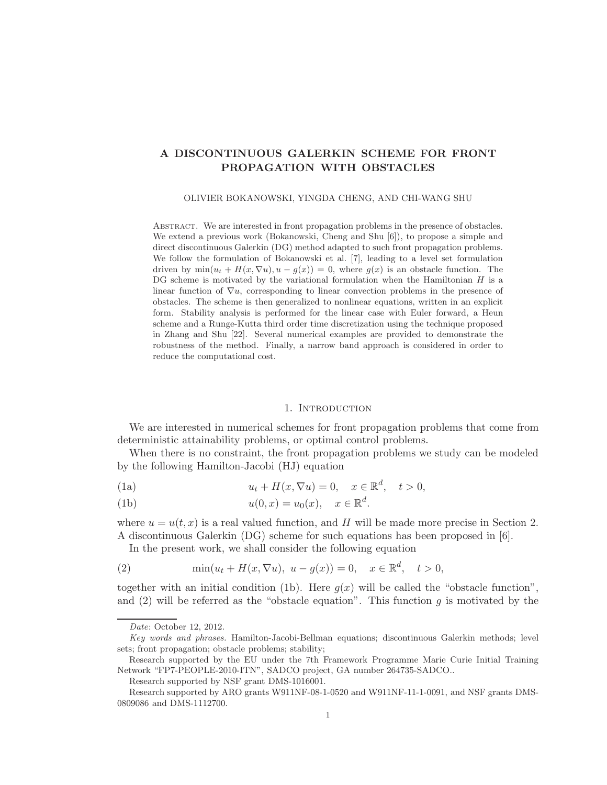# A DISCONTINUOUS GALERKIN SCHEME FOR FRONT PROPAGATION WITH OBSTACLES

OLIVIER BOKANOWSKI, YINGDA CHENG, AND CHI-WANG SHU

Abstract. We are interested in front propagation problems in the presence of obstacles. We extend a previous work (Bokanowski, Cheng and Shu [6]), to propose a simple and direct discontinuous Galerkin (DG) method adapted to such front propagation problems. We follow the formulation of Bokanowski et al. [7], leading to a level set formulation driven by  $\min(u_t + H(x, \nabla u), u - q(x)) = 0$ , where  $q(x)$  is an obstacle function. The DG scheme is motivated by the variational formulation when the Hamiltonian  $H$  is a linear function of  $\nabla u$ , corresponding to linear convection problems in the presence of obstacles. The scheme is then generalized to nonlinear equations, written in an explicit form. Stability analysis is performed for the linear case with Euler forward, a Heun scheme and a Runge-Kutta third order time discretization using the technique proposed in Zhang and Shu [22]. Several numerical examples are provided to demonstrate the robustness of the method. Finally, a narrow band approach is considered in order to reduce the computational cost.

### 1. INTRODUCTION

We are interested in numerical schemes for front propagation problems that come from deterministic attainability problems, or optimal control problems.

When there is no constraint, the front propagation problems we study can be modeled by the following Hamilton-Jacobi (HJ) equation

(1a) 
$$
u_t + H(x, \nabla u) = 0, \quad x \in \mathbb{R}^d, \quad t > 0,
$$

(1b) 
$$
u(0,x) = u_0(x), \quad x \in \mathbb{R}^d.
$$

where  $u = u(t, x)$  is a real valued function, and H will be made more precise in Section 2. A discontinuous Galerkin (DG) scheme for such equations has been proposed in [6].

In the present work, we shall consider the following equation

(2) 
$$
\min(u_t + H(x, \nabla u), u - g(x)) = 0, x \in \mathbb{R}^d, t > 0,
$$

together with an initial condition (1b). Here  $g(x)$  will be called the "obstacle function", and (2) will be referred as the "obstacle equation". This function g is motivated by the

Date: October 12, 2012.

Key words and phrases. Hamilton-Jacobi-Bellman equations; discontinuous Galerkin methods; level sets; front propagation; obstacle problems; stability;

Research supported by the EU under the 7th Framework Programme Marie Curie Initial Training Network "FP7-PEOPLE-2010-ITN", SADCO project, GA number 264735-SADCO..

Research supported by NSF grant DMS-1016001.

Research supported by ARO grants W911NF-08-1-0520 and W911NF-11-1-0091, and NSF grants DMS-0809086 and DMS-1112700.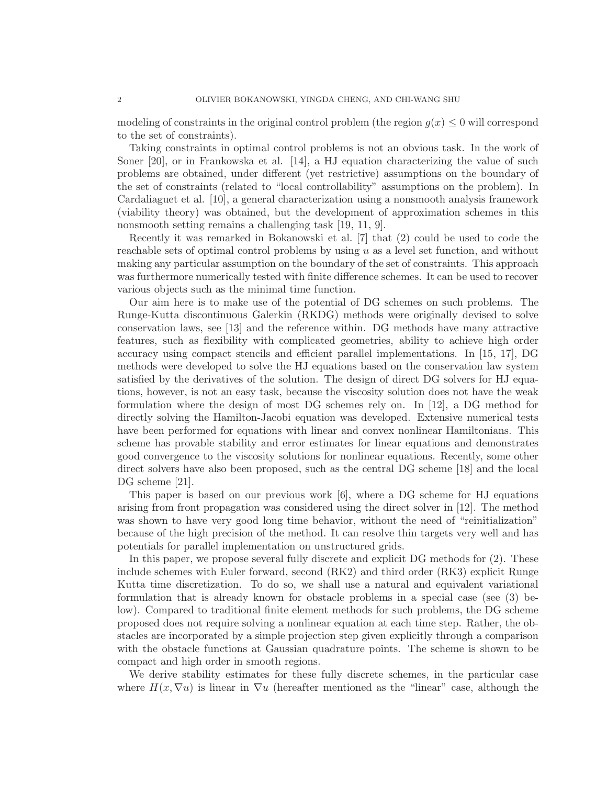modeling of constraints in the original control problem (the region  $q(x) \leq 0$  will correspond to the set of constraints).

Taking constraints in optimal control problems is not an obvious task. In the work of Soner [20], or in Frankowska et al. [14], a HJ equation characterizing the value of such problems are obtained, under different (yet restrictive) assumptions on the boundary of the set of constraints (related to "local controllability" assumptions on the problem). In Cardaliaguet et al. [10], a general characterization using a nonsmooth analysis framework (viability theory) was obtained, but the development of approximation schemes in this nonsmooth setting remains a challenging task [19, 11, 9].

Recently it was remarked in Bokanowski et al. [7] that (2) could be used to code the reachable sets of optimal control problems by using u as a level set function, and without making any particular assumption on the boundary of the set of constraints. This approach was furthermore numerically tested with finite difference schemes. It can be used to recover various objects such as the minimal time function.

Our aim here is to make use of the potential of DG schemes on such problems. The Runge-Kutta discontinuous Galerkin (RKDG) methods were originally devised to solve conservation laws, see [13] and the reference within. DG methods have many attractive features, such as flexibility with complicated geometries, ability to achieve high order accuracy using compact stencils and efficient parallel implementations. In [15, 17], DG methods were developed to solve the HJ equations based on the conservation law system satisfied by the derivatives of the solution. The design of direct DG solvers for HJ equations, however, is not an easy task, because the viscosity solution does not have the weak formulation where the design of most DG schemes rely on. In [12], a DG method for directly solving the Hamilton-Jacobi equation was developed. Extensive numerical tests have been performed for equations with linear and convex nonlinear Hamiltonians. This scheme has provable stability and error estimates for linear equations and demonstrates good convergence to the viscosity solutions for nonlinear equations. Recently, some other direct solvers have also been proposed, such as the central DG scheme [18] and the local DG scheme [21].

This paper is based on our previous work [6], where a DG scheme for HJ equations arising from front propagation was considered using the direct solver in [12]. The method was shown to have very good long time behavior, without the need of "reinitialization" because of the high precision of the method. It can resolve thin targets very well and has potentials for parallel implementation on unstructured grids.

In this paper, we propose several fully discrete and explicit DG methods for (2). These include schemes with Euler forward, second (RK2) and third order (RK3) explicit Runge Kutta time discretization. To do so, we shall use a natural and equivalent variational formulation that is already known for obstacle problems in a special case (see (3) below). Compared to traditional finite element methods for such problems, the DG scheme proposed does not require solving a nonlinear equation at each time step. Rather, the obstacles are incorporated by a simple projection step given explicitly through a comparison with the obstacle functions at Gaussian quadrature points. The scheme is shown to be compact and high order in smooth regions.

We derive stability estimates for these fully discrete schemes, in the particular case where  $H(x, \nabla u)$  is linear in  $\nabla u$  (hereafter mentioned as the "linear" case, although the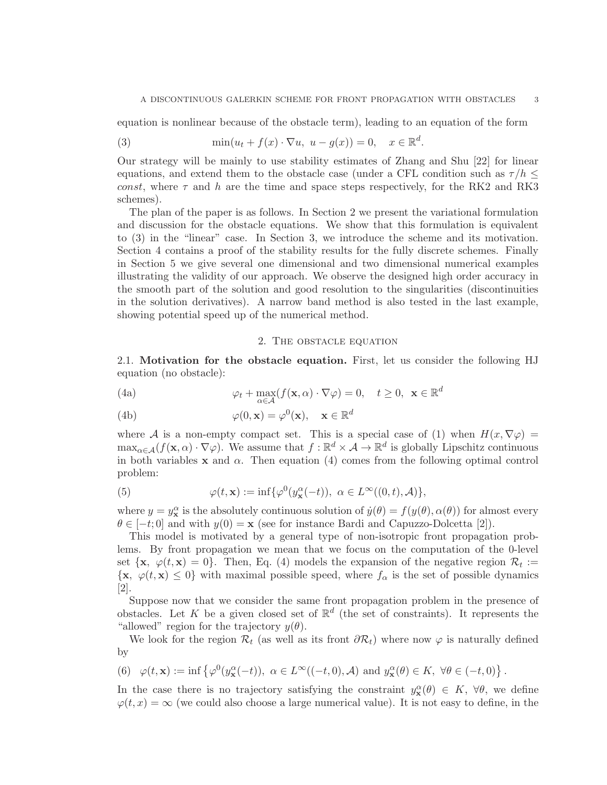equation is nonlinear because of the obstacle term), leading to an equation of the form

(3) 
$$
\min(u_t + f(x) \cdot \nabla u, \ u - g(x)) = 0, \quad x \in \mathbb{R}^d.
$$

Our strategy will be mainly to use stability estimates of Zhang and Shu [22] for linear equations, and extend them to the obstacle case (under a CFL condition such as  $\tau/h \leq$ const, where  $\tau$  and h are the time and space steps respectively, for the RK2 and RK3 schemes).

The plan of the paper is as follows. In Section 2 we present the variational formulation and discussion for the obstacle equations. We show that this formulation is equivalent to (3) in the "linear" case. In Section 3, we introduce the scheme and its motivation. Section 4 contains a proof of the stability results for the fully discrete schemes. Finally in Section 5 we give several one dimensional and two dimensional numerical examples illustrating the validity of our approach. We observe the designed high order accuracy in the smooth part of the solution and good resolution to the singularities (discontinuities in the solution derivatives). A narrow band method is also tested in the last example, showing potential speed up of the numerical method.

#### 2. The obstacle equation

2.1. Motivation for the obstacle equation. First, let us consider the following HJ equation (no obstacle):

(4a) 
$$
\varphi_t + \max_{\alpha \in \mathcal{A}} (f(\mathbf{x}, \alpha) \cdot \nabla \varphi) = 0, \quad t \ge 0, \ \mathbf{x} \in \mathbb{R}^d
$$

 $\varphi(0, \mathbf{x}) = \varphi^0(\mathbf{x}), \quad \mathbf{x} \in \mathbb{R}^d$ (4b)

where A is a non-empty compact set. This is a special case of (1) when  $H(x, \nabla \varphi)$  =  $\max_{\alpha \in \mathcal{A}} (f(\mathbf{x}, \alpha) \cdot \nabla \varphi)$ . We assume that  $f : \mathbb{R}^d \times \mathcal{A} \to \mathbb{R}^d$  is globally Lipschitz continuous in both variables x and  $\alpha$ . Then equation (4) comes from the following optimal control problem:

(5) 
$$
\varphi(t, \mathbf{x}) := \inf \{ \varphi^0(y_\mathbf{x}^\alpha(-t)), \ \alpha \in L^\infty((0, t), \mathcal{A}) \},
$$

where  $y = y_x^{\alpha}$  is the absolutely continuous solution of  $\dot{y}(\theta) = f(y(\theta), \alpha(\theta))$  for almost every  $\theta \in [-t, 0]$  and with  $y(0) = \mathbf{x}$  (see for instance Bardi and Capuzzo-Dolcetta [2]).

This model is motivated by a general type of non-isotropic front propagation problems. By front propagation we mean that we focus on the computation of the 0-level set  $\{x, \varphi(t, x) = 0\}$ . Then, Eq. (4) models the expansion of the negative region  $\mathcal{R}_t :=$  $\{x, \varphi(t, x) \leq 0\}$  with maximal possible speed, where  $f_{\alpha}$  is the set of possible dynamics [2].

Suppose now that we consider the same front propagation problem in the presence of obstacles. Let K be a given closed set of  $\mathbb{R}^d$  (the set of constraints). It represents the "allowed" region for the trajectory  $y(\theta)$ .

We look for the region  $\mathcal{R}_t$  (as well as its front  $\partial \mathcal{R}_t$ ) where now  $\varphi$  is naturally defined by

(6) 
$$
\varphi(t, \mathbf{x}) := \inf \left\{ \varphi^0(y_\mathbf{x}^\alpha(-t)), \ \alpha \in L^\infty((-t, 0), \mathcal{A}) \text{ and } y_\mathbf{x}^\alpha(\theta) \in K, \ \forall \theta \in (-t, 0) \right\}.
$$

In the case there is no trajectory satisfying the constraint  $y_{\mathbf{x}}^{\alpha}(\theta) \in K$ ,  $\forall \theta$ , we define  $\varphi(t,x) = \infty$  (we could also choose a large numerical value). It is not easy to define, in the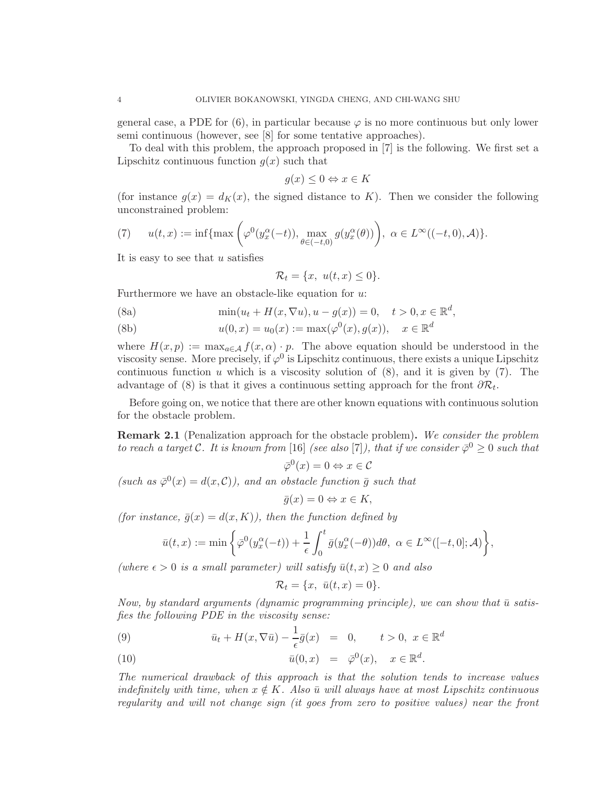general case, a PDE for  $(6)$ , in particular because  $\varphi$  is no more continuous but only lower semi continuous (however, see [8] for some tentative approaches).

To deal with this problem, the approach proposed in [7] is the following. We first set a Lipschitz continuous function  $g(x)$  such that

$$
g(x) \le 0 \Leftrightarrow x \in K
$$

(for instance  $g(x) = d_K(x)$ , the signed distance to K). Then we consider the following unconstrained problem:

(7) 
$$
u(t,x) := \inf\{\max\left(\varphi^0(y_x^{\alpha}(-t)), \max_{\theta \in (-t,0)} g(y_x^{\alpha}(\theta))\right), \ \alpha \in L^{\infty}((-t,0), \mathcal{A})\}.
$$

It is easy to see that  $u$  satisfies

$$
\mathcal{R}_t = \{x, u(t, x) \le 0\}.
$$

Furthermore we have an obstacle-like equation for  $u$ :

(8a) 
$$
\min(u_t + H(x, \nabla u), u - g(x)) = 0, \quad t > 0, x \in \mathbb{R}^d,
$$

(8b) 
$$
u(0, x) = u_0(x) := \max(\varphi^0(x), g(x)), \quad x \in \mathbb{R}^d
$$

where  $H(x, p) := \max_{a \in \mathcal{A}} f(x, \alpha) \cdot p$ . The above equation should be understood in the viscosity sense. More precisely, if  $\varphi^0$  is Lipschitz continuous, there exists a unique Lipschitz continuous function  $u$  which is a viscosity solution of  $(8)$ , and it is given by  $(7)$ . The advantage of (8) is that it gives a continuous setting approach for the front  $\partial \mathcal{R}_t$ .

Before going on, we notice that there are other known equations with continuous solution for the obstacle problem.

Remark 2.1 (Penalization approach for the obstacle problem). *We consider the problem to reach a target* C. It is known from [16] *(see also* [7]), that if we consider  $\bar{\varphi}^0 \geq 0$  such that

$$
\bar{\varphi}^0(x) = 0 \Leftrightarrow x \in \mathcal{C}
$$

 $(such \; as \; \bar{\varphi}^0(x) = d(x, C)$ , and an obstacle function  $\bar{g}$  such that

$$
\bar{g}(x) = 0 \Leftrightarrow x \in K,
$$

*(for instance,*  $\bar{g}(x) = d(x, K)$ *), then the function defined by* 

$$
\bar{u}(t,x) := \min\bigg\{\bar{\varphi}^{0}(y_x^{\alpha}(-t)) + \frac{1}{\epsilon}\int_0^t \bar{g}(y_x^{\alpha}(-\theta))d\theta, \ \alpha \in L^{\infty}([-t,0];\mathcal{A})\bigg\},\
$$

 $(where \epsilon > 0 is a small parameter) will satisfy \bar{u}(t, x) \geq 0 and also$ 

$$
\mathcal{R}_t = \{x, \ \bar{u}(t,x) = 0\}.
$$

*Now, by standard arguments (dynamic programming principle), we can show that*  $\bar{u}$  *satisfies the following PDE in the viscosity sense:*

(9) 
$$
\bar{u}_t + H(x, \nabla \bar{u}) - \frac{1}{\epsilon} \bar{g}(x) = 0, \quad t > 0, \quad x \in \mathbb{R}^d
$$

(10) 
$$
\bar{u}(0,x) = \bar{\varphi}^0(x), \quad x \in \mathbb{R}^d.
$$

*The numerical drawback of this approach is that the solution tends to increase values indefinitely with time, when*  $x \notin K$ *. Also*  $\bar{u}$  *will always have at most Lipschitz continuous regularity and will not change sign (it goes from zero to positive values) near the front*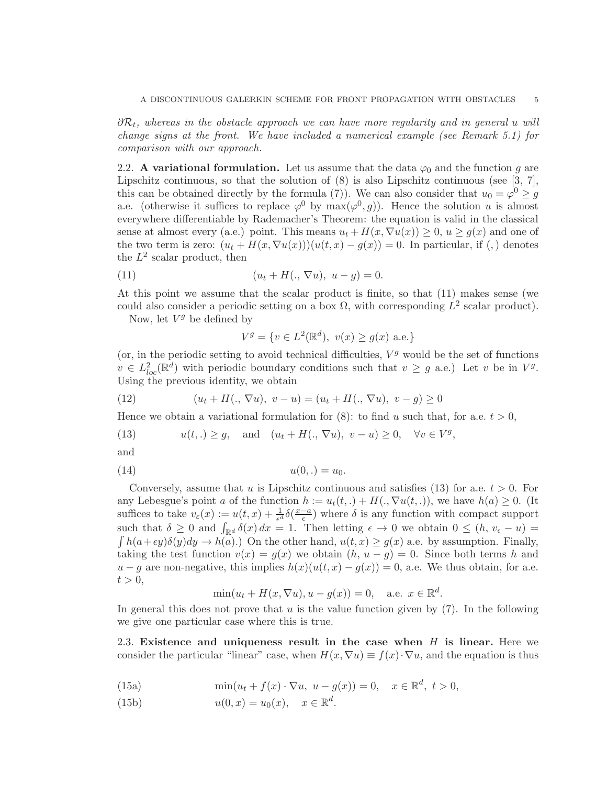∂ $\mathcal{R}_t$ , whereas in the obstacle approach we can have more regularity and in general u will *change signs at the front. We have included a numerical example (see Remark 5.1) for comparison with our approach.*

2.2. A variational formulation. Let us assume that the data  $\varphi_0$  and the function g are Lipschitz continuous, so that the solution of (8) is also Lipschitz continuous (see [3, 7], this can be obtained directly by the formula (7). We can also consider that  $u_0 = \varphi^0 \geq g$ a.e. (otherwise it suffices to replace  $\varphi^0$  by  $\max(\varphi^0, g)$ ). Hence the solution u is almost everywhere differentiable by Rademacher's Theorem: the equation is valid in the classical sense at almost every (a.e.) point. This means  $u_t + H(x, \nabla u(x)) \geq 0, u \geq g(x)$  and one of the two term is zero:  $(u_t + H(x, \nabla u(x)))(u(t, x) - g(x)) = 0$ . In particular, if (,) denotes the  $L^2$  scalar product, then

(11) 
$$
(u_t + H(., \nabla u), u - g) = 0.
$$

At this point we assume that the scalar product is finite, so that (11) makes sense (we could also consider a periodic setting on a box  $\Omega$ , with corresponding  $L^2$  scalar product).

Now, let  $V^g$  be defined by

$$
V^g = \{ v \in L^2(\mathbb{R}^d), \ v(x) \ge g(x) \text{ a.e.} \}
$$

(or, in the periodic setting to avoid technical difficulties,  $V<sup>g</sup>$  would be the set of functions  $v \in L^2_{loc}(\mathbb{R}^d)$  with periodic boundary conditions such that  $v \geq g$  a.e.) Let v be in  $V^g$ . Using the previous identity, we obtain

(12) 
$$
(u_t + H(., \nabla u), v - u) = (u_t + H(., \nabla u), v - g) \ge 0
$$

Hence we obtain a variational formulation for  $(8)$ : to find u such that, for a.e.  $t > 0$ ,

(13) 
$$
u(t,.) \ge g
$$
, and  $(u_t + H(., \nabla u), v - u) \ge 0, \quad \forall v \in V^g$ ,

and

(14) 
$$
u(0,.) = u_0.
$$

Conversely, assume that u is Lipschitz continuous and satisfies (13) for a.e.  $t > 0$ . For any Lebesgue's point a of the function  $h := u_t(t,.) + H(., \nabla u(t,.)),$  we have  $h(a) \geq 0$ . (It suffices to take  $v_{\varepsilon}(x) := u(t,x) + \frac{1}{\epsilon^d} \delta(\frac{x-a}{\epsilon})$  $\frac{-a}{\epsilon}$ ) where  $\delta$  is any function with compact support such that  $\delta \geq 0$  and  $\int_{\mathbb{R}^d} \delta(x) dx = 1$ . Then letting  $\epsilon \to 0$  we obtain  $0 \leq (h, v_{\epsilon} - u) =$  $\int h(a+\epsilon y)\delta(y)dy \to h(a)$ .) On the other hand,  $u(t, x) \ge g(x)$  a.e. by assumption. Finally, taking the test function  $v(x) = g(x)$  we obtain  $(h, u - g) = 0$ . Since both terms h and  $u-g$  are non-negative, this implies  $h(x)(u(t,x)-g(x))=0$ , a.e. We thus obtain, for a.e.  $t > 0$ ,

$$
\min(u_t + H(x, \nabla u), u - g(x)) = 0, \quad \text{a.e. } x \in \mathbb{R}^d.
$$

In general this does not prove that u is the value function given by  $(7)$ . In the following we give one particular case where this is true.

2.3. Existence and uniqueness result in the case when  $H$  is linear. Here we consider the particular "linear" case, when  $H(x, \nabla u) \equiv f(x) \cdot \nabla u$ , and the equation is thus

(15a) 
$$
\min(u_t + f(x) \cdot \nabla u, u - g(x)) = 0, x \in \mathbb{R}^d, t > 0,
$$

(15b)  $u(0, x) = u_0(x), \quad x \in \mathbb{R}^d$ .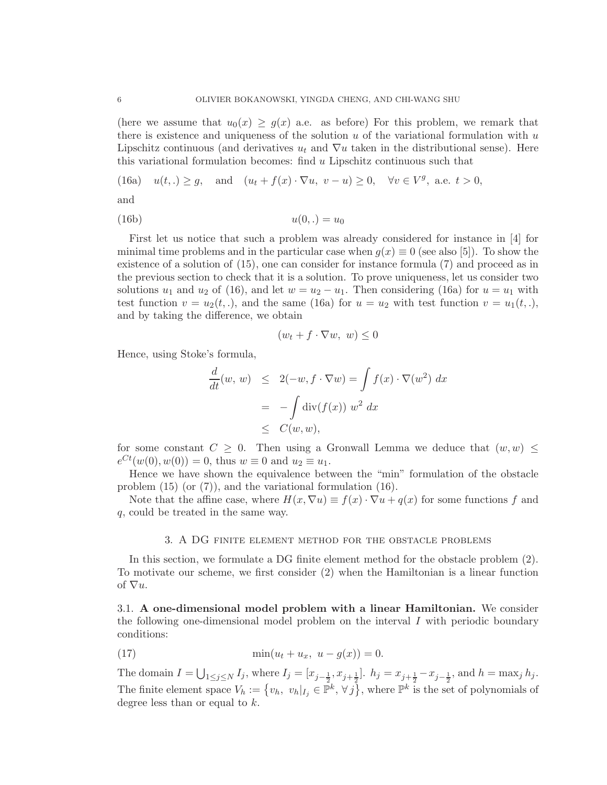(here we assume that  $u_0(x) \geq g(x)$  a.e. as before) For this problem, we remark that there is existence and uniqueness of the solution  $u$  of the variational formulation with  $u$ Lipschitz continuous (and derivatives  $u_t$  and  $\nabla u$  taken in the distributional sense). Here this variational formulation becomes: find  $u$  Lipschitz continuous such that

(16a) 
$$
u(t,.) \ge g
$$
, and  $(u_t + f(x) \cdot \nabla u, v - u) \ge 0$ ,  $\forall v \in V^g$ , a.e.  $t > 0$ ,

and

$$
(16b) \t\t u(0,.) = u_0
$$

First let us notice that such a problem was already considered for instance in [4] for minimal time problems and in the particular case when  $q(x) \equiv 0$  (see also [5]). To show the existence of a solution of (15), one can consider for instance formula (7) and proceed as in the previous section to check that it is a solution. To prove uniqueness, let us consider two solutions  $u_1$  and  $u_2$  of (16), and let  $w = u_2 - u_1$ . Then considering (16a) for  $u = u_1$  with test function  $v = u_2(t,.)$ , and the same (16a) for  $u = u_2$  with test function  $v = u_1(t,.)$ and by taking the difference, we obtain

$$
(w_t + f \cdot \nabla w, w) \le 0
$$

Hence, using Stoke's formula,

$$
\frac{d}{dt}(w, w) \leq 2(-w, f \cdot \nabla w) = \int f(x) \cdot \nabla (w^2) dx
$$

$$
= -\int \text{div}(f(x)) w^2 dx
$$

$$
\leq C(w, w),
$$

for some constant  $C \geq 0$ . Then using a Gronwall Lemma we deduce that  $(w, w)$  $e^{Ct}(w(0), w(0)) = 0$ , thus  $w \equiv 0$  and  $u_2 \equiv u_1$ .

Hence we have shown the equivalence between the "min" formulation of the obstacle problem (15) (or (7)), and the variational formulation (16).

Note that the affine case, where  $H(x, \nabla u) \equiv f(x) \cdot \nabla u + q(x)$  for some functions f and q, could be treated in the same way.

## 3. A DG finite element method for the obstacle problems

In this section, we formulate a DG finite element method for the obstacle problem (2). To motivate our scheme, we first consider (2) when the Hamiltonian is a linear function of  $\nabla u$ .

3.1. A one-dimensional model problem with a linear Hamiltonian. We consider the following one-dimensional model problem on the interval  $I$  with periodic boundary conditions:

(17) 
$$
\min(u_t + u_x, \ u - g(x)) = 0.
$$

The domain  $I = \bigcup_{1 \leq j \leq N} I_j$ , where  $I_j = [x_{j-\frac{1}{2}}, x_{j+\frac{1}{2}}]$ .  $h_j = x_{j+\frac{1}{2}} - x_{j-\frac{1}{2}}$ , and  $h = \max_j h_j$ . The finite element space  $V_h := \{v_h, v_h|_{I_j} \in \mathbb{P}^k, \forall j\}$ , where  $\mathbb{P}^k$  is the set of polynomials of degree less than or equal to k.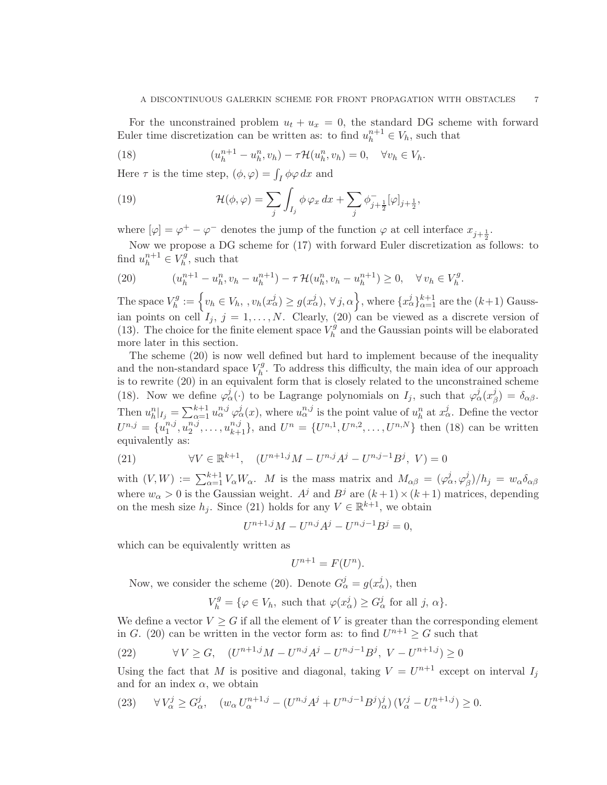For the unconstrained problem  $u_t + u_x = 0$ , the standard DG scheme with forward Euler time discretization can be written as: to find  $u_h^{n+1} \in V_h$ , such that

(18) 
$$
(u_h^{n+1} - u_h^n, v_h) - \tau \mathcal{H}(u_h^n, v_h) = 0, \quad \forall v_h \in V_h.
$$

Here  $\tau$  is the time step,  $(\phi, \varphi) = \int_I \phi \varphi \, dx$  and

(19) 
$$
\mathcal{H}(\phi,\varphi) = \sum_{j} \int_{I_j} \phi \, \varphi_x \, dx + \sum_{j} \phi_{j+\frac{1}{2}}^{-} [\varphi]_{j+\frac{1}{2}},
$$

where  $[\varphi] = \varphi^+ - \varphi^-$  denotes the jump of the function  $\varphi$  at cell interface  $x_{j+\frac{1}{2}}$ .

Now we propose a DG scheme for  $(17)$  with forward Euler discretization as follows: to find  $u_h^{n+1} \in V_h^g$  $h^g$ , such that

(20) 
$$
(u_h^{n+1} - u_h^n, v_h - u_h^{n+1}) - \tau \mathcal{H}(u_h^n, v_h - u_h^{n+1}) \ge 0, \quad \forall v_h \in V_h^g.
$$

The space  $V_h^g$  $\mathcal{F}_h^g := \left\{ v_h \in V_h, \, , v_h(x_\alpha^j) \geq g(x_\alpha^j), \, \forall \, j, \alpha \right\}, \text{where } \{x_\alpha^j\}_{\alpha=1}^{k+1} \text{ are the } (k+1) \text{ Gauss-} \}$ ian points on cell  $I_j$ ,  $j = 1, ..., N$ . Clearly, (20) can be viewed as a discrete version of (13). The choice for the finite element space  $V_h^{\hat{g}}$  $h_h^g$  and the Gaussian points will be elaborated more later in this section.

The scheme (20) is now well defined but hard to implement because of the inequality and the non-standard space  $V_h^g$  $h<sup>rg</sup>$ . To address this difficulty, the main idea of our approach is to rewrite (20) in an equivalent form that is closely related to the unconstrained scheme (18). Now we define  $\varphi^j_\alpha(\cdot)$  to be Lagrange polynomials on  $I_j$ , such that  $\varphi^j_\alpha(x^j_\beta)$  $\delta_{\beta}^{\jmath}$ ) =  $\delta_{\alpha\beta}$ . Then  $u_h^n|_{I_j} = \sum_{\alpha=1}^{k+1} u_\alpha^{n,j} \varphi_\alpha^j(x)$ , where  $u_\alpha^{n,j}$  is the point value of  $u_h^n$  at  $x_\alpha^j$ . Define the vector  $U^{n,j} = \{u_1^{n,j}$  $_{1}^{n,j},u_{2}^{n,j}$  $\{u_1^{n,j}, \ldots, u_{k+1}^{n,j}\},$  and  $U^n = \{U^{n,1}, U^{n,2}, \ldots, U^{n,N}\}\$  then (18) can be written equivalently as:

(21) 
$$
\forall V \in \mathbb{R}^{k+1}, \quad (U^{n+1,j}M - U^{n,j}A^j - U^{n,j-1}B^j, V) = 0
$$

with  $(V, W) := \sum_{\alpha=1}^{k+1} V_{\alpha} W_{\alpha}$ . M is the mass matrix and  $M_{\alpha\beta} = (\varphi_{\alpha}^{j}, \varphi_{\beta}^{j})$  $\lambda_{\beta}^{j}/h_{j} = w_{\alpha} \delta_{\alpha\beta}$ where  $w_{\alpha} > 0$  is the Gaussian weight.  $A^{j}$  and  $B^{j}$  are  $(k+1) \times (k+1)$  matrices, depending on the mesh size  $h_j$ . Since (21) holds for any  $V \in \mathbb{R}^{k+1}$ , we obtain

$$
U^{n+1,j}M - U^{n,j}A^j - U^{n,j-1}B^j = 0,
$$

which can be equivalently written as

$$
U^{n+1} = F(U^n).
$$

Now, we consider the scheme (20). Denote  $G^j_\alpha = g(x^j_\alpha)$ , then

$$
V_h^g = \{ \varphi \in V_h, \text{ such that } \varphi(x_\alpha^j) \ge G_\alpha^j \text{ for all } j, \alpha \}.
$$

We define a vector  $V \geq G$  if all the element of V is greater than the corresponding element in G. (20) can be written in the vector form as: to find  $U^{n+1} \geq G$  such that

(22) 
$$
\forall V \ge G, \quad (U^{n+1,j}M - U^{n,j}A^j - U^{n,j-1}B^j, V - U^{n+1,j}) \ge 0
$$

Using the fact that M is positive and diagonal, taking  $V = U^{n+1}$  except on interval  $I_j$ and for an index  $\alpha$ , we obtain

$$
(23) \qquad \forall V_{\alpha}^{j} \ge G_{\alpha}^{j}, \quad (w_{\alpha} U_{\alpha}^{n+1,j} - (U^{n,j} A^{j} + U^{n,j-1} B^{j})_{\alpha}^{j}) (V_{\alpha}^{j} - U_{\alpha}^{n+1,j}) \ge 0.
$$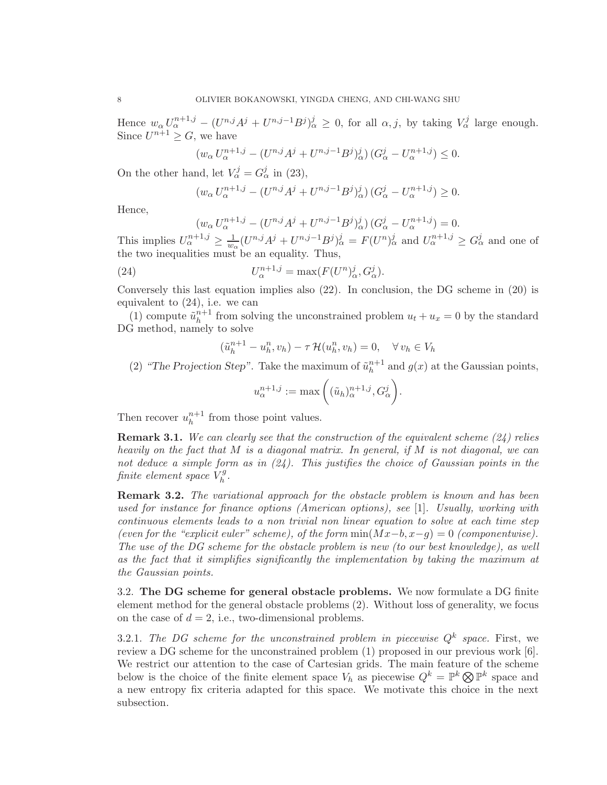Hence  $w_{\alpha} U_{\alpha}^{n+1,j} - (U^{n,j}A^j + U^{n,j-1}B^j)_{\alpha}^j \geq 0$ , for all  $\alpha, j$ , by taking  $V_{\alpha}^j$  large enough. Since  $U^{n+1} \geq G$ , we have

$$
(w_{\alpha} U_{\alpha}^{n+1,j} - (U^{n,j} A^j + U^{n,j-1} B^j)_{\alpha}^j) (G_{\alpha}^j - U_{\alpha}^{n+1,j}) \le 0.
$$

On the other hand, let  $V^j_\alpha = G^j_\alpha$  in (23),

$$
(w_{\alpha} U_{\alpha}^{n+1,j} - (U^{n,j} A^j + U^{n,j-1} B^j)_{\alpha}^j) (G_{\alpha}^j - U_{\alpha}^{n+1,j}) \ge 0.
$$

Hence,

$$
(w_{\alpha} U_{\alpha}^{n+1,j} - (U^{n,j} A^j + U^{n,j-1} B^j)_{\alpha}^j) (G_{\alpha}^j - U_{\alpha}^{n+1,j}) = 0.
$$

This implies  $U_{\alpha}^{n+1,j} \geq \frac{1}{w_{\alpha}}$  $\frac{1}{w_\alpha}(U^{n,j}A^j+U^{n,j-1}B^j)_\alpha^j = F(U^n)_\alpha^j$  and  $U_\alpha^{n+1,j} \geq G_\alpha^j$  and one of the two inequalities must be an equality. Thus,

(24) 
$$
U_{\alpha}^{n+1,j} = \max(F(U^n)_{\alpha}^j, G_{\alpha}^j).
$$

Conversely this last equation implies also (22). In conclusion, the DG scheme in (20) is equivalent to (24), i.e. we can

(1) compute  $\tilde{u}_h^{n+1}$  $h^{n+1}$  from solving the unconstrained problem  $u_t + u_x = 0$  by the standard DG method, namely to solve

$$
(\tilde{u}_h^{n+1} - u_h^n, v_h) - \tau \mathcal{H}(u_h^n, v_h) = 0, \quad \forall v_h \in V_h
$$

(2) "The Projection Step". Take the maximum of  $\tilde{u}_h^{n+1}$  $h^{n+1}$  and  $g(x)$  at the Gaussian points,

$$
u_{\alpha}^{n+1,j} := \max\left( (\tilde{u}_h)_{\alpha}^{n+1,j}, G_{\alpha}^j \right).
$$

Then recover  $u_h^{n+1}$  $h^{n+1}$  from those point values.

Remark 3.1. *We can clearly see that the construction of the equivalent scheme (24) relies heavily on the fact that* M *is a diagonal matrix. In general, if* M *is not diagonal, we can not deduce a simple form as in (24). This justifies the choice of Gaussian points in the finite element space*  $\hat{V}_h^g$ h *.*

Remark 3.2. *The variational approach for the obstacle problem is known and has been used for instance for finance options (American options), see* [1]*. Usually, working with continuous elements leads to a non trivial non linear equation to solve at each time step (even for the "explicit euler" scheme), of the form* min(Mx−b, x−g) = 0 *(componentwise). The use of the DG scheme for the obstacle problem is new (to our best knowledge), as well as the fact that it simplifies significantly the implementation by taking the maximum at the Gaussian points.*

3.2. The DG scheme for general obstacle problems. We now formulate a DG finite element method for the general obstacle problems (2). Without loss of generality, we focus on the case of  $d = 2$ , i.e., two-dimensional problems.

3.2.1. The DG scheme for the unconstrained problem in piecewise  $Q^k$  space. First, we review a DG scheme for the unconstrained problem (1) proposed in our previous work [6]. We restrict our attention to the case of Cartesian grids. The main feature of the scheme below is the choice of the finite element space  $V_h$  as piecewise  $Q^k = \mathbb{P}^k \otimes \mathbb{P}^k$  space and a new entropy fix criteria adapted for this space. We motivate this choice in the next subsection.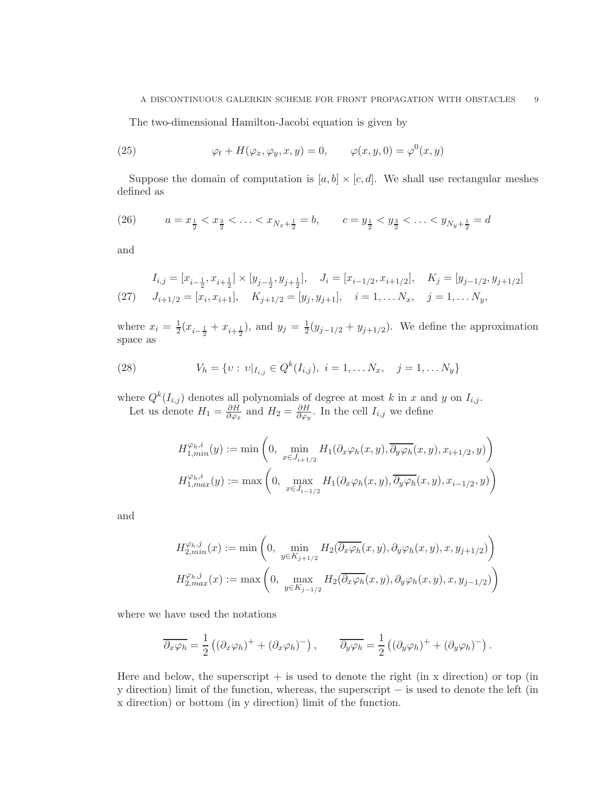The two-dimensional Hamilton-Jacobi equation is given by

(25) 
$$
\varphi_t + H(\varphi_x, \varphi_y, x, y) = 0, \qquad \varphi(x, y, 0) = \varphi^0(x, y)
$$

Suppose the domain of computation is  $[a, b] \times [c, d]$ . We shall use rectangular meshes defined as

(26) 
$$
a = x_{\frac{1}{2}} < x_{\frac{3}{2}} < \ldots < x_{N_x + \frac{1}{2}} = b, \qquad c = y_{\frac{1}{2}} < y_{\frac{3}{2}} < \ldots < y_{N_y + \frac{1}{2}} = d
$$

and

(27) 
$$
I_{i,j} = [x_{i-\frac{1}{2}}, x_{i+\frac{1}{2}}] \times [y_{j-\frac{1}{2}}, y_{j+\frac{1}{2}}], \quad J_i = [x_{i-1/2}, x_{i+1/2}], \quad K_j = [y_{j-1/2}, y_{j+1/2}]
$$

$$
J_{i+1/2} = [x_i, x_{i+1}], \quad K_{j+1/2} = [y_j, y_{j+1}], \quad i = 1, \dots N_x, \quad j = 1, \dots N_y,
$$

where  $x_i = \frac{1}{2}(x_{i-\frac{1}{2}} + x_{i+\frac{1}{2}})$ , and  $y_j = \frac{1}{2}(y_{j-1/2} + y_{j+1/2})$ . We define the approximation space as

(28) 
$$
V_h = \{v : v|_{I_{i,j}} \in Q^k(I_{i,j}), i = 1, \dots N_x, j = 1, \dots N_y\}
$$

where  $Q^k(I_{i,j})$  denotes all polynomials of degree at most k in x and y on  $I_{i,j}$ . Let us denote  $H_1 = \frac{\partial H}{\partial \varphi_2}$  $\frac{\partial H}{\partial \varphi_x}$  and  $H_2 = \frac{\partial H}{\partial \varphi_y}$  $\frac{\partial H}{\partial \varphi_y}$ . In the cell  $I_{i,j}$  we define

$$
H_{1,min}^{\varphi_h,i}(y) := \min\left(0, \min_{x \in J_{i+1/2}} H_1(\partial_x \varphi_h(x, y), \overline{\partial_y \varphi_h}(x, y), x_{i+1/2}, y)\right)
$$
  

$$
H_{1,max}^{\varphi_h,i}(y) := \max\left(0, \max_{x \in J_{i-1/2}} H_1(\partial_x \varphi_h(x, y), \overline{\partial_y \varphi_h}(x, y), x_{i-1/2}, y)\right)
$$

and

$$
H_{2,min}^{\varphi_h,j}(x) := \min\left(0, \min_{y \in K_{j+1/2}} H_2(\overline{\partial_x \varphi_h}(x, y), \partial_y \varphi_h(x, y), x, y_{j+1/2})\right)
$$
  

$$
H_{2,max}^{\varphi_h,j}(x) := \max\left(0, \max_{y \in K_{j-1/2}} H_2(\overline{\partial_x \varphi_h}(x, y), \partial_y \varphi_h(x, y), x, y_{j-1/2})\right)
$$

where we have used the notations

$$
\overline{\partial_x \varphi_h} = \frac{1}{2} \left( (\partial_x \varphi_h)^+ + (\partial_x \varphi_h)^- \right), \qquad \overline{\partial_y \varphi_h} = \frac{1}{2} \left( (\partial_y \varphi_h)^+ + (\partial_y \varphi_h)^- \right).
$$

Here and below, the superscript  $+$  is used to denote the right (in x direction) or top (in y direction) limit of the function, whereas, the superscript − is used to denote the left (in x direction) or bottom (in y direction) limit of the function.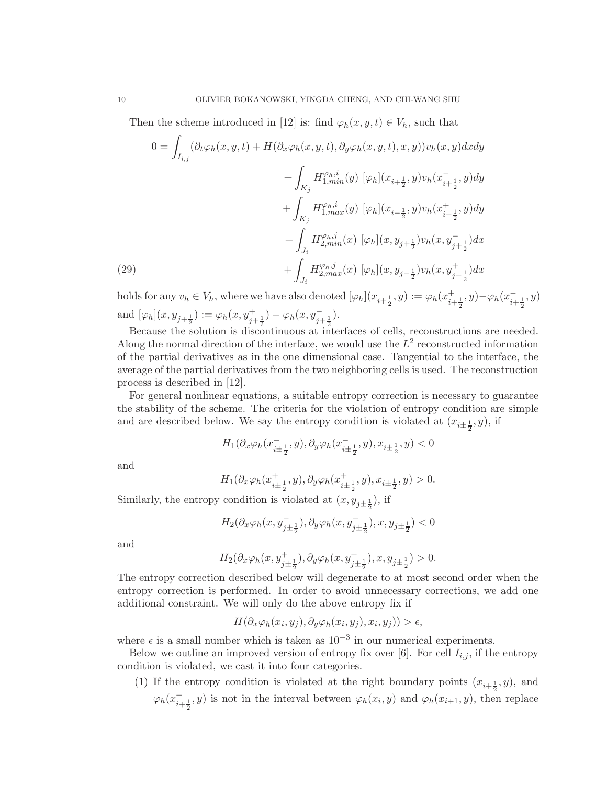Then the scheme introduced in [12] is: find  $\varphi_h(x, y, t) \in V_h$ , such that

(29)  
\n
$$
0 = \int_{I_{i,j}} (\partial_t \varphi_h(x, y, t) + H(\partial_x \varphi_h(x, y, t), \partial_y \varphi_h(x, y, t), x, y)) v_h(x, y) dx dy
$$
\n
$$
+ \int_{K_j} H_{1, min}^{\varphi_h, i}(y) [\varphi_h](x_{i + \frac{1}{2}}, y) v_h(x_{i + \frac{1}{2}}, y) dy
$$
\n
$$
+ \int_{K_j} H_{1, max}^{\varphi_h, i}(y) [\varphi_h](x_{i - \frac{1}{2}}, y) v_h(x_{i - \frac{1}{2}}, y) dy
$$
\n
$$
+ \int_{J_i} H_{2, min}^{\varphi_h, j}(x) [\varphi_h](x, y_{j + \frac{1}{2}}) v_h(x, y_{j + \frac{1}{2}}) dx
$$
\n
$$
+ \int_{J_i} H_{2, max}^{\varphi_h, j}(x) [\varphi_h](x, y_{j - \frac{1}{2}}) v_h(x, y_{j - \frac{1}{2}}^+) dx
$$

holds for any  $v_h \in V_h$ , where we have also denoted  $[\varphi_h](x_{i+\frac{1}{2}}, y) := \varphi_h(x_{i+\frac{1}{2}}^+)$  $_{i+\frac{1}{2}}^{+},y)-\varphi_{h}(x_{i+\frac{1}{2}}^{-})$  $\frac{1}{i+\frac{1}{2}}, y$ and  $[\varphi_h](x, y_{j+\frac{1}{2}}) := \varphi_h(x, y_{j+\frac{1}{2}}^+) - \varphi_h(x, y_{j+\frac{1}{2}}^-).$ 

Because the solution is discontinuous at interfaces of cells, reconstructions are needed. Along the normal direction of the interface, we would use the  $L^2$  reconstructed information of the partial derivatives as in the one dimensional case. Tangential to the interface, the average of the partial derivatives from the two neighboring cells is used. The reconstruction process is described in [12].

For general nonlinear equations, a suitable entropy correction is necessary to guarantee the stability of the scheme. The criteria for the violation of entropy condition are simple and are described below. We say the entropy condition is violated at  $(x_{i\pm \frac{1}{2}}, y)$ , if

$$
H_1(\partial_x\varphi_h(x_{i\pm\frac{1}{2}}^-,y),\partial_y\varphi_h(x_{i\pm\frac{1}{2}}^-,y),x_{i\pm\frac{1}{2}},y)<0
$$

and

$$
H_1(\partial_x \varphi_h(x^+_{i\pm\frac{1}{2}},y), \partial_y \varphi_h(x^+_{i\pm\frac{1}{2}},y), x_{i\pm\frac{1}{2}},y) > 0.
$$

Similarly, the entropy condition is violated at  $(x, y_{j\pm \frac{1}{2}})$ , if

$$
H_2(\partial_x\varphi_h(x,y_{j\pm\frac{1}{2}}^-),\partial_y\varphi_h(x,y_{j\pm\frac{1}{2}}^-),x,y_{j\pm\frac{1}{2}})<0
$$

and

$$
H_2(\partial_x \varphi_h(x, y_{j \pm \frac{1}{2}}^+), \partial_y \varphi_h(x, y_{j \pm \frac{1}{2}}^+), x, y_{j \pm \frac{1}{2}}) > 0.
$$

The entropy correction described below will degenerate to at most second order when the entropy correction is performed. In order to avoid unnecessary corrections, we add one additional constraint. We will only do the above entropy fix if

$$
H(\partial_x \varphi_h(x_i, y_j), \partial_y \varphi_h(x_i, y_j), x_i, y_j)) > \epsilon,
$$

where  $\epsilon$  is a small number which is taken as  $10^{-3}$  in our numerical experiments.

Below we outline an improved version of entropy fix over [6]. For cell  $I_{i,j}$ , if the entropy condition is violated, we cast it into four categories.

(1) If the entropy condition is violated at the right boundary points  $(x_{i+\frac{1}{2}}, y)$ , and  $\varphi_h(x_{i+\frac{1}{2}}^+, y)$  is not in the interval between  $\varphi_h(x_i, y)$  and  $\varphi_h(x_{i+1}, y)$ , then replace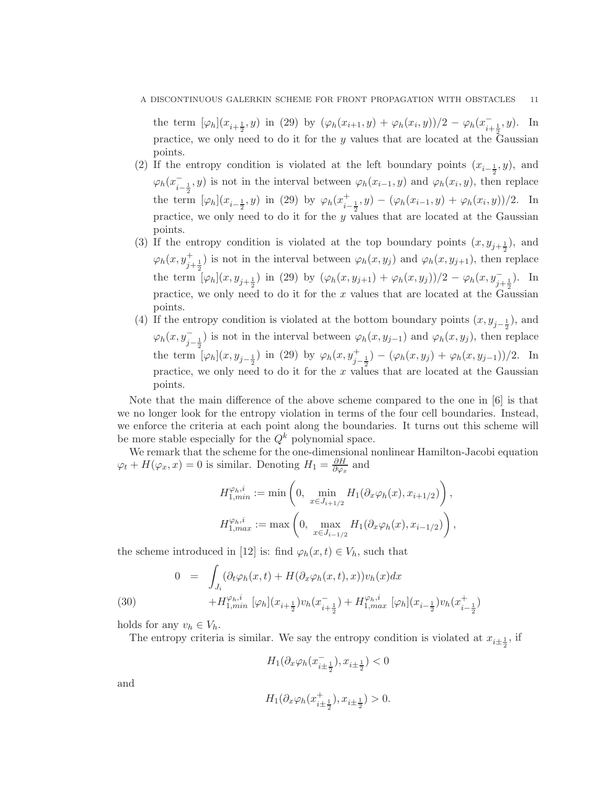the term  $[\varphi_h](x_{i+\frac{1}{2}}, y)$  in (29) by  $(\varphi_h(x_{i+1}, y) + \varphi_h(x_i, y))/2 - \varphi_h(x_{i+\frac{1}{2}}, y)$ . In practice, we only need to do it for the y values that are located at the Gaussian points.

- (2) If the entropy condition is violated at the left boundary points  $(x_{i-\frac{1}{2}}, y)$ , and  $\varphi_h(x_{i-\frac{1}{2}}^-, y)$  is not in the interval between  $\varphi_h(x_{i-1}, y)$  and  $\varphi_h(x_i, y)$ , then replace the term  $[\varphi_h](x_{i-\frac{1}{2}}, y)$  in (29) by  $\varphi_h(x_{i-\frac{1}{2}}, y) - (\varphi_h(x_{i-1}, y) + \varphi_h(x_i, y))/2$ . In practice, we only need to do it for the y values that are located at the Gaussian points.
- (3) If the entropy condition is violated at the top boundary points  $(x, y_{j+\frac{1}{2}})$ , and  $\varphi_h(x, y_{j+\frac{1}{2}}^+)$  is not in the interval between  $\varphi_h(x, y_j)$  and  $\varphi_h(x, y_{j+1})$ , then replace the term  $\left[\varphi_h\right](x, y_{j+\frac{1}{2}})$  in (29) by  $(\varphi_h(x, y_{j+1}) + \varphi_h(x, y_j))/2 - \varphi_h(x, y_{j+\frac{1}{2}})$ . In practice, we only need to do it for the  $x$  values that are located at the Gaussian points.
- (4) If the entropy condition is violated at the bottom boundary points  $(x, y_{j-\frac{1}{2}})$ , and  $\varphi_h(x, y_{j-\frac{1}{2}}^-)$  is not in the interval between  $\varphi_h(x, y_{j-1})$  and  $\varphi_h(x, y_j)$ , then replace the term  $[\varphi_h](x, y_{j-\frac{1}{2}})$  in (29) by  $\varphi_h(x, y_{j-\frac{1}{2}}) - (\varphi_h(x, y_j) + \varphi_h(x, y_{j-1}))/2$ . In practice, we only need to do it for the x values that are located at the Gaussian points.

Note that the main difference of the above scheme compared to the one in [6] is that we no longer look for the entropy violation in terms of the four cell boundaries. Instead, we enforce the criteria at each point along the boundaries. It turns out this scheme will be more stable especially for the  $Q^k$  polynomial space.

We remark that the scheme for the one-dimensional nonlinear Hamilton-Jacobi equation  $\varphi_t + H(\varphi_x, x) = 0$  is similar. Denoting  $H_1 = \frac{\partial H}{\partial \varphi_x}$  $\frac{\partial H}{\partial \varphi_x}$  and

$$
H_{1,min}^{\varphi_h, i} := \min\left(0, \min_{x \in J_{i+1/2}} H_1(\partial_x \varphi_h(x), x_{i+1/2})\right),
$$
  

$$
H_{1,max}^{\varphi_h, i} := \max\left(0, \max_{x \in J_{i-1/2}} H_1(\partial_x \varphi_h(x), x_{i-1/2})\right),
$$

the scheme introduced in [12] is: find  $\varphi_h(x,t) \in V_h$ , such that

(30) 
$$
0 = \int_{J_i} (\partial_t \varphi_h(x, t) + H(\partial_x \varphi_h(x, t), x)) v_h(x) dx + H_{1, min}^{\varphi_h, i} [\varphi_h] (x_{i + \frac{1}{2}}) v_h(x_{i + \frac{1}{2}}^{\top}) + H_{1, max}^{\varphi_h, i} [\varphi_h] (x_{i - \frac{1}{2}}) v_h(x_{i - \frac{1}{2}}^{\top})
$$

holds for any  $v_h \in V_h$ .

The entropy criteria is similar. We say the entropy condition is violated at  $x_{i\pm \frac{1}{2}}$ , if

 $H_1(\partial_x \varphi_h(x_{i \pm \frac{1}{2}}^{-}), x_{i \pm \frac{1}{2}}^{-}) < 0$ 

and

$$
H_1(\partial_x \varphi_h(x^+_{i\pm \frac{1}{2}}), x_{i\pm \frac{1}{2}}) > 0.
$$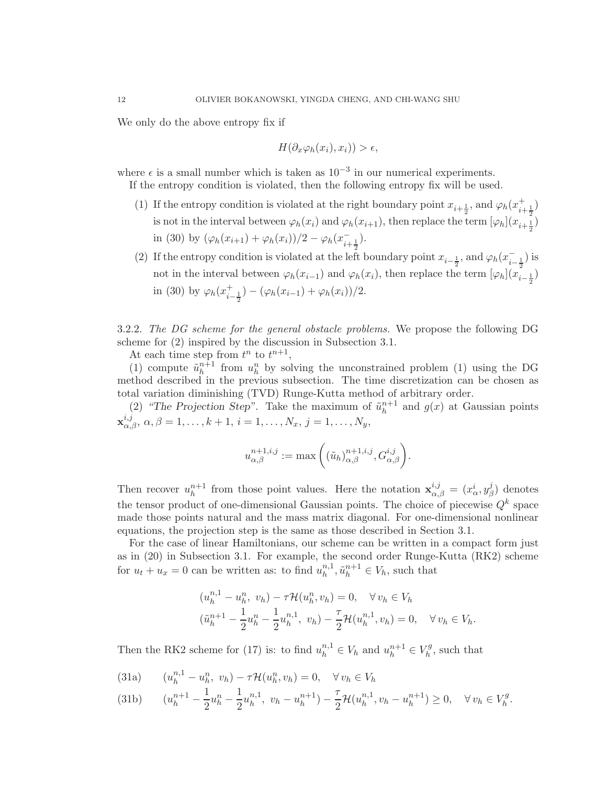We only do the above entropy fix if

$$
H(\partial_x \varphi_h(x_i), x_i)) > \epsilon,
$$

where  $\epsilon$  is a small number which is taken as  $10^{-3}$  in our numerical experiments.

If the entropy condition is violated, then the following entropy fix will be used.

- (1) If the entropy condition is violated at the right boundary point  $x_{i+\frac{1}{2}}$ , and  $\varphi_h(x_{i+\frac{1}{2}}^+)$ is not in the interval between  $\varphi_h(x_i)$  and  $\varphi_h(x_{i+1})$ , then replace the term  $[\varphi_h](x_{i+\frac{1}{2}})$ in (30) by  $(\varphi_h(x_{i+1}) + \varphi_h(x_i))/2 - \varphi_h(x_{i+\frac{1}{2}})$ .
- (2) If the entropy condition is violated at the left boundary point  $x_{i-\frac{1}{2}}$ , and  $\varphi_h(x_{i-\frac{1}{2}}^-)$  is not in the interval between  $\varphi_h(x_{i-1})$  and  $\varphi_h(x_i)$ , then replace the term  $[\varphi_h](x_{i-\frac{1}{2}})$ in (30) by  $\varphi_h(x_i^+)$  $(\varphi_h(x_{i-1}) + \varphi_h(x_i))/2.$

3.2.2. *The DG scheme for the general obstacle problems.* We propose the following DG scheme for (2) inspired by the discussion in Subsection 3.1.

At each time step from  $t^n$  to  $t^{n+1}$ ,

(1) compute  $\tilde{u}_h^{n+1}$  $h^{n+1}$  from  $u^n_h$  by solving the unconstrained problem (1) using the DG method described in the previous subsection. The time discretization can be chosen as total variation diminishing (TVD) Runge-Kutta method of arbitrary order.

(2) "The Projection Step". Take the maximum of  $\tilde{u}_h^{n+1}$  $h^{n+1}$  and  $g(x)$  at Gaussian points  $\mathbf{x}_{\alpha,\beta}^{i,j}, \ \alpha,\beta = 1,\ldots,k+1, \ i = 1,\ldots,N_x, \ j = 1,\ldots,N_y,$ 

$$
u^{n+1,i,j}_{\alpha,\beta} := \max\left( (\tilde{u}_h)_{\alpha,\beta}^{n+1,i,j}, G_{\alpha,\beta}^{i,j} \right).
$$

Then recover  $u_h^{n+1}$  $a_h^{n+1}$  from those point values. Here the notation  $\mathbf{x}_{\alpha,\beta}^{i,j} = (x_\alpha^i, y_\beta^j)$  $\beta$ ) denotes the tensor product of one-dimensional Gaussian points. The choice of piecewise  $Q^k$  space made those points natural and the mass matrix diagonal. For one-dimensional nonlinear equations, the projection step is the same as those described in Section 3.1.

For the case of linear Hamiltonians, our scheme can be written in a compact form just as in (20) in Subsection 3.1. For example, the second order Runge-Kutta (RK2) scheme for  $u_t + u_x = 0$  can be written as: to find  $u_h^{n,1}$  $_{h}^{n,1}, \tilde{u}_{h}^{n+1} \in V_h$ , such that

$$
(u_h^{n,1} - u_h^n, v_h) - \tau \mathcal{H}(u_h^n, v_h) = 0, \quad \forall v_h \in V_h
$$
  

$$
(\tilde{u}_h^{n+1} - \frac{1}{2}u_h^n - \frac{1}{2}u_h^{n,1}, v_h) - \frac{\tau}{2} \mathcal{H}(u_h^{n,1}, v_h) = 0, \quad \forall v_h \in V_h.
$$

Then the RK2 scheme for (17) is: to find  $u_h^{n,1} \in V_h$  and  $u_h^{n+1} \in V_h^g$  $h_h^{\prime g}$ , such that

(31a) 
$$
(u_h^{n,1} - u_h^n, v_h) - \tau \mathcal{H}(u_h^n, v_h) = 0, \quad \forall v_h \in V_h
$$

$$
(31b) \qquad (u_h^{n+1} - \frac{1}{2}u_h^n - \frac{1}{2}u_h^{n,1}, \ v_h - u_h^{n+1}) - \frac{\tau}{2} \mathcal{H}(u_h^{n,1}, v_h - u_h^{n+1}) \ge 0, \quad \forall \, v_h \in V_h^g.
$$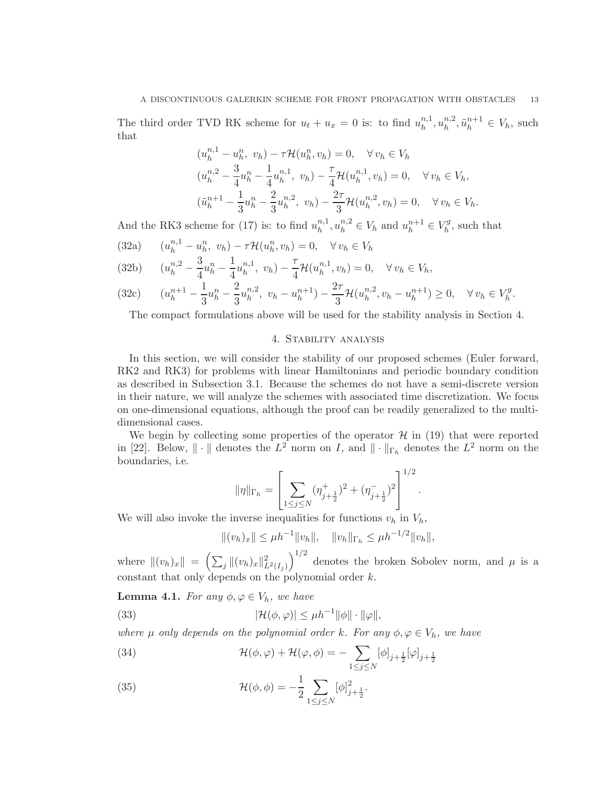The third order TVD RK scheme for  $u_t + u_x = 0$  is: to find  $u_h^{n,1}$  $_{h}^{n,1},u_{h}^{n,2}$  $_{h}^{n,2}, \tilde{u}_{h}^{n+1} \in V_h$ , such that

$$
(u_h^{n,1} - u_h^n, v_h) - \tau \mathcal{H}(u_h^n, v_h) = 0, \quad \forall v_h \in V_h
$$
  
\n
$$
(u_h^{n,2} - \frac{3}{4}u_h^n - \frac{1}{4}u_h^{n,1}, v_h) - \frac{\tau}{4}\mathcal{H}(u_h^{n,1}, v_h) = 0, \quad \forall v_h \in V_h,
$$
  
\n
$$
(\tilde{u}_h^{n+1} - \frac{1}{3}u_h^n - \frac{2}{3}u_h^{n,2}, v_h) - \frac{2\tau}{3}\mathcal{H}(u_h^{n,2}, v_h) = 0, \quad \forall v_h \in V_h.
$$

And the RK3 scheme for (17) is: to find  $u_h^{n,1}$  $h^{n,1}_h, u^{n,2}_h \in V_h$  and  $u^{n+1}_h \in V_h^g$  $h^g$ , such that

(32a)  $(u_h^{n,1} - u_h^n, v_h) - \tau \mathcal{H}(u_h^n, v_h) = 0, \quad \forall v_h \in V_h$ 

$$
(32b) \t(u_h^{n,2} - \frac{3}{4}u_h^n - \frac{1}{4}u_h^{n,1}, v_h) - \frac{\tau}{4}\mathcal{H}(u_h^{n,1}, v_h) = 0, \quad \forall v_h \in V_h,
$$

$$
(32c) \qquad (u_h^{n+1} - \frac{1}{3}u_h^n - \frac{2}{3}u_h^{n,2}, \ v_h - u_h^{n+1}) - \frac{2\tau}{3}\mathcal{H}(u_h^{n,2}, v_h - u_h^{n+1}) \ge 0, \quad \forall \, v_h \in V_h^g.
$$

The compact formulations above will be used for the stability analysis in Section 4.

### 4. Stability analysis

In this section, we will consider the stability of our proposed schemes (Euler forward, RK2 and RK3) for problems with linear Hamiltonians and periodic boundary condition as described in Subsection 3.1. Because the schemes do not have a semi-discrete version in their nature, we will analyze the schemes with associated time discretization. We focus on one-dimensional equations, although the proof can be readily generalized to the multidimensional cases.

We begin by collecting some properties of the operator  $\mathcal{H}$  in (19) that were reported in [22]. Below,  $\|\cdot\|$  denotes the  $L^2$  norm on I, and  $\|\cdot\|_{\Gamma_h}$  denotes the  $L^2$  norm on the boundaries, i.e.

$$
\|\eta\|_{\Gamma_h} = \left[ \sum_{1 \le j \le N} (\eta_{j+\frac{1}{2}}^+)^2 + (\eta_{j+\frac{1}{2}}^-)^2 \right]^{1/2}.
$$

We will also invoke the inverse inequalities for functions  $v_h$  in  $V_h$ ,

$$
||(v_h)_x|| \le \mu h^{-1}||v_h||, \quad ||v_h||_{\Gamma_h} \le \mu h^{-1/2}||v_h||,
$$

where  $||(v_h)_x|| = \left(\sum_j ||(v_h)_x||^2_{L^2(I_j)}\right)$  $\int_{0}^{1/2}$  denotes the broken Sobolev norm, and  $\mu$  is a constant that only depends on the polynomial order k.

**Lemma 4.1.** *For any*  $\phi, \varphi \in V_h$ *, we have* 

(33) 
$$
|\mathcal{H}(\phi,\varphi)| \leq \mu h^{-1} ||\phi|| \cdot ||\varphi||,
$$

*where*  $\mu$  *only depends on the polynomial order* k*. For any*  $\phi, \varphi \in V_h$ *, we have* 

(34) 
$$
\mathcal{H}(\phi,\varphi) + \mathcal{H}(\varphi,\phi) = -\sum_{1 \leq j \leq N} [\phi]_{j+\frac{1}{2}}[\varphi]_{j+\frac{1}{2}}
$$

(35) 
$$
\mathcal{H}(\phi,\phi) = -\frac{1}{2} \sum_{1 \le j \le N} [\phi]_{j+\frac{1}{2}}^2.
$$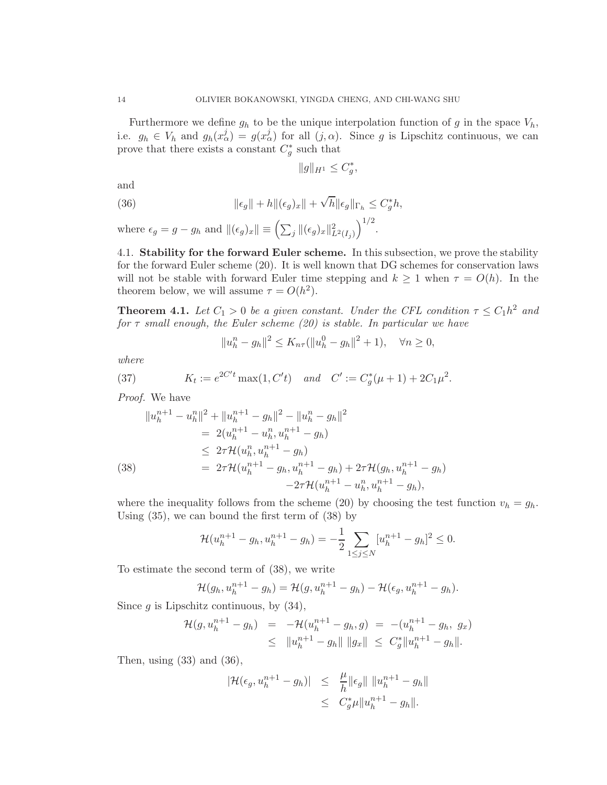Furthermore we define  $g_h$  to be the unique interpolation function of g in the space  $V_h$ , i.e.  $g_h \in V_h$  and  $g_h(x^j_\alpha) = g(x^j_\alpha)$  for all  $(j, \alpha)$ . Since g is Lipschitz continuous, we can prove that there exists a constant  $C_g^*$  such that

$$
\|g\|_{H^1}\leq C_g^*
$$

,

and

(36) 
$$
\|\epsilon_g\| + h\|(\epsilon_g)_x\| + \sqrt{h}\|\epsilon_g\|_{\Gamma_h} \leq C_g^* h,
$$

where  $\epsilon_g = g - g_h$  and  $\|(\epsilon_g)_x\| \equiv \left(\sum_j \|(\epsilon_g)_x\|_{L^2(I_j)}^2\right)^{1/2}$ .

4.1. Stability for the forward Euler scheme. In this subsection, we prove the stability for the forward Euler scheme (20). It is well known that DG schemes for conservation laws will not be stable with forward Euler time stepping and  $k \geq 1$  when  $\tau = O(h)$ . In the theorem below, we will assume  $\tau = O(h^2)$ .

**Theorem 4.1.** Let  $C_1 > 0$  be a given constant. Under the CFL condition  $\tau \leq C_1 h^2$  and *for* τ *small enough, the Euler scheme (20) is stable. In particular we have*

$$
||u_h^n - g_h||^2 \le K_{n\tau}(||u_h^0 - g_h||^2 + 1), \quad \forall n \ge 0,
$$

*where*

(37) 
$$
K_t := e^{2C't} \max(1, C't) \quad and \quad C' := C_g^*(\mu + 1) + 2C_1\mu^2.
$$

*Proof.* We have

$$
||u_h^{n+1} - u_h^{n}||^2 + ||u_h^{n+1} - g_h||^2 - ||u_h^n - g_h||^2
$$
  
=  $2(u_h^{n+1} - u_h^n, u_h^{n+1} - g_h)$   
 $\leq 2\tau \mathcal{H}(u_h^n, u_h^{n+1} - g_h)$   
(38)  
=  $2\tau \mathcal{H}(u_h^{n+1} - g_h, u_h^{n+1} - g_h) + 2\tau \mathcal{H}(g_h, u_h^{n+1} - g_h)$   
 $-2\tau \mathcal{H}(u_h^{n+1} - u_h^n, u_h^{n+1} - g_h),$ 

where the inequality follows from the scheme (20) by choosing the test function  $v_h = g_h$ . Using (35), we can bound the first term of (38) by

$$
\mathcal{H}(u_h^{n+1} - g_h, u_h^{n+1} - g_h) = -\frac{1}{2} \sum_{1 \le j \le N} [u_h^{n+1} - g_h]^2 \le 0.
$$

To estimate the second term of (38), we write

$$
\mathcal{H}(g_h, u_h^{n+1} - g_h) = \mathcal{H}(g, u_h^{n+1} - g_h) - \mathcal{H}(\epsilon_g, u_h^{n+1} - g_h).
$$

Since  $q$  is Lipschitz continuous, by  $(34)$ ,

$$
\mathcal{H}(g, u_h^{n+1} - g_h) = -\mathcal{H}(u_h^{n+1} - g_h, g) = -(u_h^{n+1} - g_h, g_x)
$$
  
\n
$$
\leq ||u_h^{n+1} - g_h|| ||g_x|| \leq C_g^* ||u_h^{n+1} - g_h||.
$$

Then, using  $(33)$  and  $(36)$ ,

$$
|\mathcal{H}(\epsilon_g, u_h^{n+1} - g_h)| \leq \frac{\mu}{h} \|\epsilon_g\| \|u_h^{n+1} - g_h\|
$$
  

$$
\leq C_g^* \mu \|u_h^{n+1} - g_h\|.
$$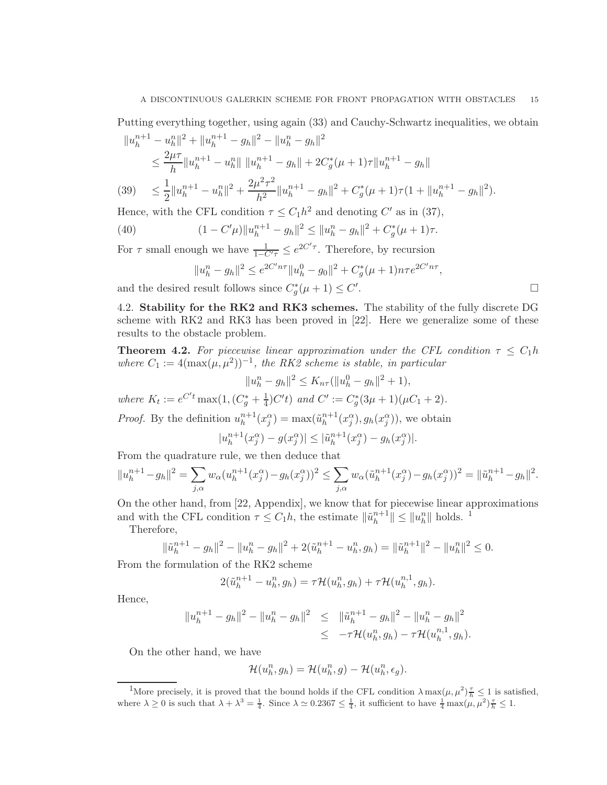Putting everything together, using again (33) and Cauchy-Schwartz inequalities, we obtain

$$
||u_h^{n+1} - u_h^{n}||^2 + ||u_h^{n+1} - g_h||^2 - ||u_h^n - g_h||^2
$$
  
\n
$$
\leq \frac{2\mu\tau}{h} ||u_h^{n+1} - u_h^{n}|| ||u_h^{n+1} - g_h|| + 2C_g^*(\mu + 1)\tau ||u_h^{n+1} - g_h||
$$
  
\n(39) 
$$
\leq \frac{1}{\mu} ||u_h^{n+1} - u_h^{n}||^2 + \frac{2\mu^2\tau^2}{\mu} ||u_h^{n+1} - g_h||^2 + C_g^*(\mu + 1)\tau(1 + ||u_h^{n+1} - g_h||^2)
$$

$$
(39) \leq \frac{1}{2} \|u_h^{n+1} - u_h^{n}\|^2 + \frac{2\mu}{h^2} \|u_h^{n+1} - g_h\|^2 + C_g^*(\mu + 1)\tau (1 + \|u_h^{n+1} - g_h\|^2).
$$

Hence, with the CFL condition  $\tau \leq C_1 h^2$  and denoting C' as in (37),

(40) 
$$
(1 - C'\mu)\|u_h^{n+1} - g_h\|^2 \le \|u_h^n - g_h\|^2 + C_g^*(\mu + 1)\tau.
$$

For  $\tau$  small enough we have  $\frac{1}{1-C'\tau} \leq e^{2C'\tau}$ . Therefore, by recursion

$$
||u_h^n - g_h||^2 \le e^{2C'n\tau} ||u_h^0 - g_0||^2 + C_g^*(\mu + 1)n\tau e^{2C'n\tau},
$$
  
result follows since  $C_g^*(\mu + 1) \le C'.$ 

and the desired result follows since  $C_g^*(\mu + 1) \leq C'$ 

4.2. Stability for the RK2 and RK3 schemes. The stability of the fully discrete DG scheme with RK2 and RK3 has been proved in [22]. Here we generalize some of these results to the obstacle problem.

**Theorem 4.2.** For piecewise linear approximation under the CFL condition  $\tau \leq C_1 h$ *where*  $C_1 := 4(\max(\mu, \mu^2))^{-1}$ , the RK2 scheme is stable, in particular

$$
||u_h^n - g_h||^2 \le K_{n\tau}(||u_h^0 - g_h||^2 + 1),
$$

*where*  $K_t := e^{C't} \max(1, (C_g^* + \frac{1}{4}))$  $\frac{1}{4}$ )C't) and C' := C<sub>g</sub>'(3µ + 1)(µC<sub>1</sub> + 2).

*Proof.* By the definition  $u_h^{n+1}$  $\binom{n+1}{h}(x_j^{\alpha}) = \max(\tilde{u}_h^{n+1})$  ${}_{h}^{n+1}(x_j^{\alpha}), g_h(x_j^{\alpha}))$ , we obtain

$$
|u_h^{n+1}(x_j^{\alpha}) - g(x_j^{\alpha})| \leq |\tilde{u}_h^{n+1}(x_j^{\alpha}) - g_h(x_j^{\alpha})|.
$$

From the quadrature rule, we then deduce that

$$
||u_h^{n+1} - g_h||^2 = \sum_{j,\alpha} w_{\alpha} (u_h^{n+1}(x_j^{\alpha}) - g_h(x_j^{\alpha}))^2 \le \sum_{j,\alpha} w_{\alpha} (\tilde{u}_h^{n+1}(x_j^{\alpha}) - g_h(x_j^{\alpha}))^2 = ||\tilde{u}_h^{n+1} - g_h||^2.
$$

On the other hand, from [22, Appendix], we know that for piecewise linear approximations and with the CFL condition  $\tau \leq C_1 h$ , the estimate  $\|\tilde{u}_h^{n+1}\|$  $\left\| \begin{matrix} n+1 \\ h \end{matrix} \right\| \leq \left\| u_h^n \right\|$  holds. <sup>1</sup>

Therefore,

$$
\|\tilde{u}_h^{n+1} - g_h\|^2 - \|u_h^n - g_h\|^2 + 2(\tilde{u}_h^{n+1} - u_h^n, g_h) = \|\tilde{u}_h^{n+1}\|^2 - \|u_h^n\|^2 \le 0.
$$

From the formulation of the RK2 scheme

$$
2(\tilde{u}_h^{n+1} - u_h^n, g_h) = \tau \mathcal{H}(u_h^n, g_h) + \tau \mathcal{H}(u_h^{n,1}, g_h).
$$

Hence,

$$
||u_h^{n+1} - g_h||^2 - ||u_h^n - g_h||^2 \le ||\tilde{u}_h^{n+1} - g_h||^2 - ||u_h^n - g_h||^2
$$
  

$$
\le -\tau \mathcal{H}(u_h^n, g_h) - \tau \mathcal{H}(u_h^{n,1}, g_h).
$$

On the other hand, we have

$$
\mathcal{H}(u_h^n, g_h) = \mathcal{H}(u_h^n, g) - \mathcal{H}(u_h^n, \epsilon_g).
$$

<sup>&</sup>lt;sup>1</sup>More precisely, it is proved that the bound holds if the CFL condition  $\lambda \max(\mu, \mu^2)^{\frac{T}{h}} \leq 1$  is satisfied, where  $\lambda \geq 0$  is such that  $\lambda + \lambda^3 = \frac{1}{4}$ . Since  $\lambda \simeq 0.2367 \leq \frac{1}{4}$ , it sufficient to have  $\frac{1}{4} \max(\mu, \mu^2)^{\frac{1}{2}} \leq 1$ .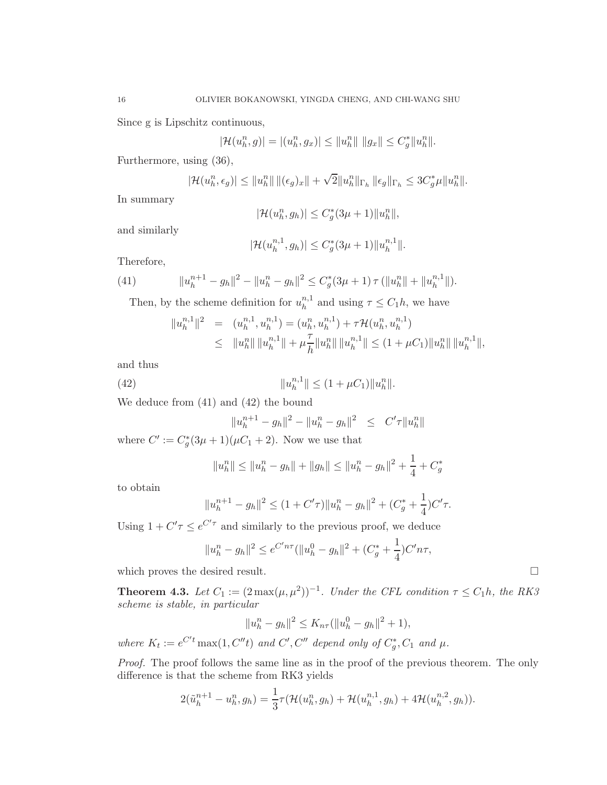Since g is Lipschitz continuous,

$$
|\mathcal{H}(u_h^n, g)| = |(u_h^n, g_x)| \le ||u_h^n|| \, ||g_x|| \le C_g^* ||u_h^n||.
$$

Furthermore, using (36),

$$
|\mathcal{H}(u_h^n, \epsilon_g)| \leq ||u_h^n|| \, ||(\epsilon_g)_x|| + \sqrt{2} ||u_h^n||_{\Gamma_h} \, ||\epsilon_g||_{\Gamma_h} \leq 3C_g^* \mu ||u_h^n||.
$$

In summary

$$
|\mathcal{H}(u_h^n, g_h)| \leq C_g^*(3\mu+1) \|u_h^n\|,
$$

and similarly

$$
|\mathcal{H}(u_h^{n,1}, g_h)| \le C_g^*(3\mu + 1) \|u_h^{n,1}\|.
$$

Therefore,

(41) 
$$
||u_h^{n+1} - g_h||^2 - ||u_h^n - g_h||^2 \leq C_g^*(3\mu + 1) \tau (||u_h^n|| + ||u_h^{n,1}||).
$$

Then, by the scheme definition for  $u_h^{n,1}$  $h^{n,1}$  and using  $\tau \leq C_1 h$ , we have

$$
||u_h^{n,1}||^2 = (u_h^{n,1}, u_h^{n,1}) = (u_h^n, u_h^{n,1}) + \tau \mathcal{H}(u_h^n, u_h^{n,1})
$$
  

$$
\leq ||u_h^n|| ||u_h^{n,1}|| + \mu \frac{\tau}{h} ||u_h^n|| ||u_h^{n,1}|| \leq (1 + \mu C_1) ||u_h^n|| ||u_h^{n,1}||,
$$

and thus

(42) 
$$
||u_h^{n,1}|| \le (1 + \mu C_1) ||u_h^{n}||.
$$

We deduce from (41) and (42) the bound

$$
||u_h^{n+1} - g_h||^2 - ||u_h^n - g_h||^2 \leq C' \tau ||u_h^n||
$$

where  $C' := C_g^*(3\mu + 1)(\mu C_1 + 2)$ . Now we use that

$$
||u_h^n|| \le ||u_h^n - g_h|| + ||g_h|| \le ||u_h^n - g_h||^2 + \frac{1}{4} + C_g^*
$$

to obtain

$$
||u_h^{n+1} - g_h||^2 \le (1 + C'\tau)||u_h^n - g_h||^2 + (C_g^* + \frac{1}{4})C'\tau.
$$

Using  $1 + C' \tau \leq e^{C' \tau}$  and similarly to the previous proof, we deduce

$$
||u_h^n - g_h||^2 \le e^{C'n\tau} (||u_h^0 - g_h||^2 + (C_g^* + \frac{1}{4})C'n\tau,
$$

which proves the desired result.

**Theorem 4.3.** Let  $C_1 := (2 \max(\mu, \mu^2))^{-1}$ . Under the CFL condition  $\tau \le C_1 h$ , the RK3 *scheme is stable, in particular*

$$
||u_h^n - g_h||^2 \le K_{n\tau}(||u_h^0 - g_h||^2 + 1),
$$

where  $K_t := e^{C't} \max(1, C''t)$  and  $C', C''$  depend only of  $C_g^*, C_1$  and  $\mu$ .

*Proof.* The proof follows the same line as in the proof of the previous theorem. The only difference is that the scheme from RK3 yields

$$
2(\tilde{u}_h^{n+1} - u_h^n, g_h) = \frac{1}{3}\tau(\mathcal{H}(u_h^n, g_h) + \mathcal{H}(u_h^{n,1}, g_h) + 4\mathcal{H}(u_h^{n,2}, g_h)).
$$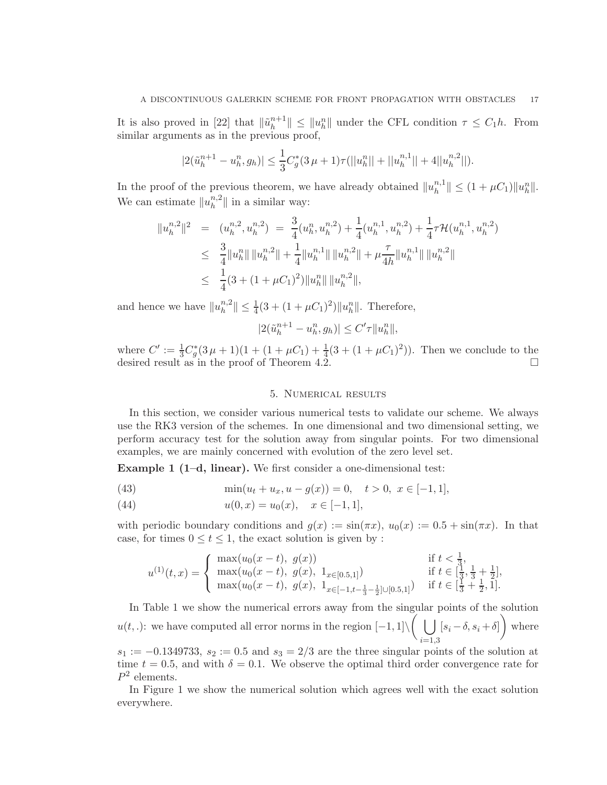It is also proved in [22] that  $\|\tilde{u}_h^{n+1}\|$  $\|h^{n+1}\| \leq \|u^n_h\|$  under the CFL condition  $\tau \leq C_1 h$ . From similar arguments as in the previous proof,

$$
|2(\tilde{u}_h^{n+1} - u_h^n, g_h)| \le \frac{1}{3} C_g^*(3\,\mu + 1)\tau(||u_h^n|| + ||u_h^{n,1}|| + 4||u_h^{n,2}||).
$$

In the proof of the previous theorem, we have already obtained  $||u_h^{n,1}||$  $||_{h}^{n,1}|| \leq (1 + \mu C_1)||u_h^{n}||.$ We can estimate  $||u_h^{n,2}||$  $\|h^{n,2}\|$  in a similar way:

$$
\begin{split} \|u_h^{n,2}\|^2 &= (u_h^{n,2}, u_h^{n,2}) = \frac{3}{4}(u_h^n, u_h^{n,2}) + \frac{1}{4}(u_h^{n,1}, u_h^{n,2}) + \frac{1}{4}\tau \mathcal{H}(u_h^{n,1}, u_h^{n,2}) \\ &\leq \frac{3}{4} \|u_h^n\| \|u_h^{n,2}\| + \frac{1}{4} \|u_h^{n,1}\| \|u_h^{n,2}\| + \mu \frac{\tau}{4h} \|u_h^{n,1}\| \|u_h^{n,2}\| \\ &\leq \frac{1}{4}(3 + (1 + \mu C_1)^2) \|u_h^n\| \|u_h^{n,2}\|, \end{split}
$$

and hence we have  $||u_h^{n,2}||$  $||u_h^{n,2}|| \leq \frac{1}{4}(3 + (1 + \mu C_1)^2)||u_h^{n}||$ . Therefore,

$$
|2(\tilde{u}_h^{n+1} - u_h^n, g_h)| \le C' \tau ||u_h^n||,
$$

where  $C' := \frac{1}{3}C_g^*(3\mu + 1)(1 + (1 + \mu C_1) + \frac{1}{4}(3 + (1 + \mu C_1)^2))$ . Then we conclude to the desired result as in the proof of Theorem 4.2.

#### 5. Numerical results

In this section, we consider various numerical tests to validate our scheme. We always use the RK3 version of the schemes. In one dimensional and two dimensional setting, we perform accuracy test for the solution away from singular points. For two dimensional examples, we are mainly concerned with evolution of the zero level set.

Example 1 (1–d, linear). We first consider a one-dimensional test:

(43) 
$$
\min(u_t + u_x, u - g(x)) = 0, \quad t > 0, \ x \in [-1, 1],
$$

(44)  $u(0, x) = u_0(x), \quad x \in [-1, 1],$ 

with periodic boundary conditions and  $g(x) := \sin(\pi x), u_0(x) := 0.5 + \sin(\pi x)$ . In that case, for times  $0 \le t \le 1$ , the exact solution is given by :

$$
u^{(1)}(t,x) = \begin{cases} \max(u_0(x-t), g(x)) & \text{if } t < \frac{1}{3}, \\ \max(u_0(x-t), g(x), 1_{x \in [0.5,1]}) & \text{if } t \in [\frac{1}{3}, \frac{1}{3} + \frac{1}{2}], \\ \max(u_0(x-t), g(x), 1_{x \in [-1, t-\frac{1}{3}-\frac{1}{2}] \cup [0.5,1]}) & \text{if } t \in [\frac{1}{3} + \frac{1}{2}, 1]. \end{cases}
$$

In Table 1 we show the numerical errors away from the singular points of the solution  $u(t,.)$ : we have computed all error norms in the region  $[-1,1] \setminus \left( \begin{array}{c} \bigcup \end{array} \right)$  $_{i=1,3}$  $[s_i - \delta, s_i + \delta]$  where

 $s_1 := -0.1349733$ ,  $s_2 := 0.5$  and  $s_3 = 2/3$  are the three singular points of the solution at time  $t = 0.5$ , and with  $\delta = 0.1$ . We observe the optimal third order convergence rate for  $P^2$  elements.

In Figure 1 we show the numerical solution which agrees well with the exact solution everywhere.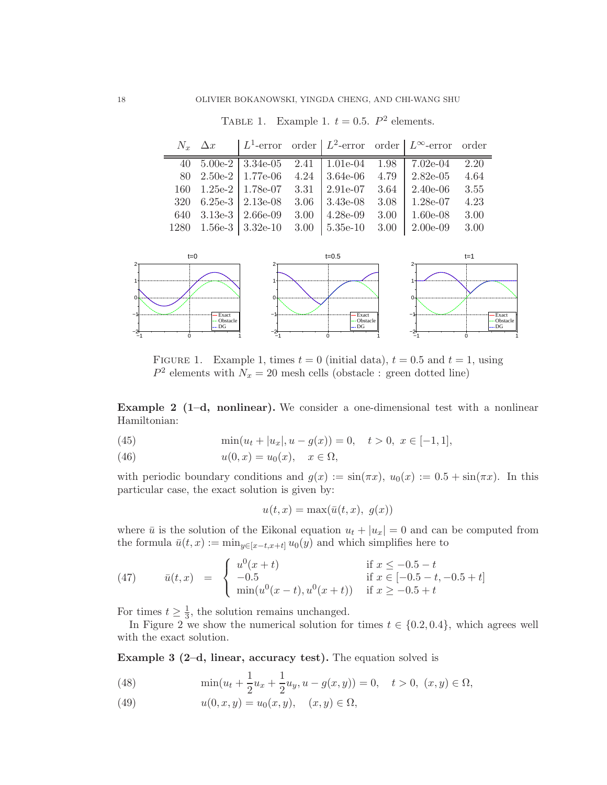TABLE 1. Example 1.  $t = 0.5$ .  $P^2$  elements.

|  |                                                   |  | $N_x$ $\Delta x$   $L^1$ -error order   $L^2$ -error order   $L^\infty$ -error order |      |
|--|---------------------------------------------------|--|--------------------------------------------------------------------------------------|------|
|  |                                                   |  | 40 $5.00e-2$   $3.34e-05$ $2.41$   $1.01e-04$ $1.98$   $7.02e-04$ $2.20$             |      |
|  |                                                   |  | 80 2.50e-2   1.77e-06 4.24   3.64e-06 4.79   2.82e-05 4.64                           |      |
|  |                                                   |  | 160 1.25e-2   1.78e-07 3.31   2.91e-07 3.64   2.40e-06                               | 3.55 |
|  | 320 6.25e-3   2.13e-08 3.06   3.43e-08            |  | $3.08$   1.28e-07                                                                    | 4.23 |
|  | 640 $3.13e-3$   2.66e-09 $3.00$   4.28e-09 $3.00$ |  | $1.60e-08$                                                                           | 3.00 |
|  |                                                   |  | 1280 1.56e-3 $\vert$ 3.32e-10 3.00 $\vert$ 5.35e-10 3.00 $\vert$ 2.00e-09 3.00       |      |



FIGURE 1. Example 1, times  $t = 0$  (initial data),  $t = 0.5$  and  $t = 1$ , using  $P^2$  elements with  $N_x = 20$  mesh cells (obstacle : green dotted line)

**Example 2** (1–d, nonlinear). We consider a one-dimensional test with a nonlinear Hamiltonian:

(45)  $\min(u_t + |u_x|, u - g(x)) = 0, \quad t > 0, \ x \in [-1, 1],$ 

(46) 
$$
u(0,x) = u_0(x), \quad x \in \Omega,
$$

with periodic boundary conditions and  $g(x) := \sin(\pi x)$ ,  $u_0(x) := 0.5 + \sin(\pi x)$ . In this particular case, the exact solution is given by:

$$
u(t,x) = \max(\bar{u}(t,x), g(x))
$$

where  $\bar{u}$  is the solution of the Eikonal equation  $u_t + |u_x| = 0$  and can be computed from the formula  $\bar{u}(t, x) := \min_{y \in [x-t, x+t]} u_0(y)$  and which simplifies here to

(47) 
$$
\bar{u}(t,x) = \begin{cases} u^{0}(x+t) & \text{if } x \leq -0.5-t \\ -0.5 & \text{if } x \in [-0.5-t, -0.5+t] \\ \min(u^{0}(x-t), u^{0}(x+t)) & \text{if } x \geq -0.5+t \end{cases}
$$

For times  $t \geq \frac{1}{3}$  $\frac{1}{3}$ , the solution remains unchanged.

In Figure 2 we show the numerical solution for times  $t \in \{0.2, 0.4\}$ , which agrees well with the exact solution.

Example 3 (2–d, linear, accuracy test). The equation solved is

(48) 
$$
\min(u_t + \frac{1}{2}u_x + \frac{1}{2}u_y, u - g(x, y)) = 0, \quad t > 0, (x, y) \in \Omega,
$$

(49)  $u(0, x, y) = u_0(x, y), \quad (x, y) \in \Omega,$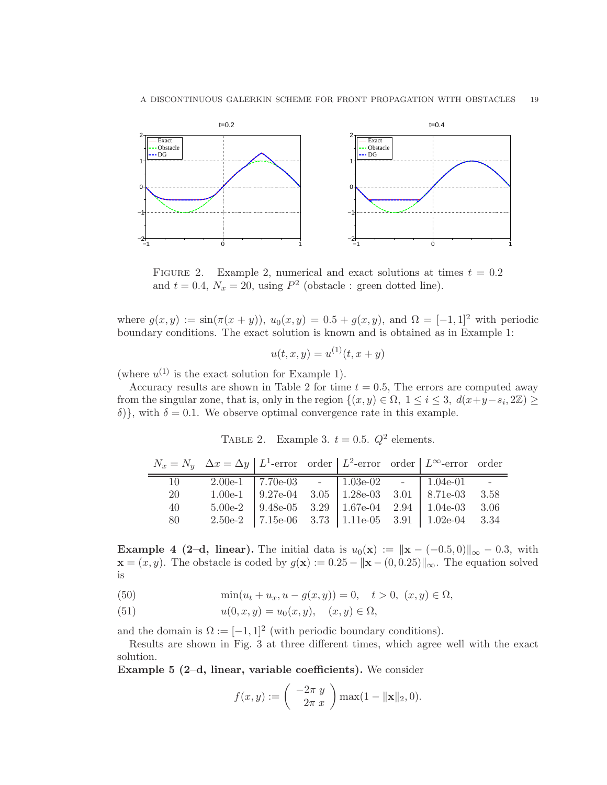

FIGURE 2. Example 2, numerical and exact solutions at times  $t = 0.2$ and  $t = 0.4$ ,  $N_x = 20$ , using  $P^2$  (obstacle : green dotted line).

where  $g(x, y) := \sin(\pi(x + y))$ ,  $u_0(x, y) = 0.5 + g(x, y)$ , and  $\Omega = [-1, 1]^2$  with periodic boundary conditions. The exact solution is known and is obtained as in Example 1:

$$
u(t, x, y) = u^{(1)}(t, x + y)
$$

(where  $u^{(1)}$  is the exact solution for Example 1).

Accuracy results are shown in Table 2 for time  $t = 0.5$ , The errors are computed away from the singular zone, that is, only in the region  $\{(x, y) \in \Omega, 1 \le i \le 3, d(x+y-s_i, 2\mathbb{Z}) \ge$ δ)}, with  $\delta = 0.1$ . We observe optimal convergence rate in this example.

TABLE 2. Example 3.  $t = 0.5$ .  $Q^2$  elements.

|    | $N_x = N_y \Delta x = \Delta y \mid L^1$ -error order $\mid L^2$ -error order $\mid L^{\infty}$ -error order |  |  |                                                                                                                                                                                                                                   |  |
|----|--------------------------------------------------------------------------------------------------------------|--|--|-----------------------------------------------------------------------------------------------------------------------------------------------------------------------------------------------------------------------------------|--|
| 10 |                                                                                                              |  |  | $\begin{tabular}{c cccc} 2.00e-1 & 7.70e-03 & - & 1.03e-02 & - & 1.04e-01 & - \\ 1.00e-1 & 9.27e-04 & 3.05 & 1.28e-03 & 3.01 & 8.71e-03 & 3.58 \\ 5.00e-2 & 9.48e-05 & 3.29 & 1.67e-04 & 2.94 & 1.04e-03 & 3.06 \\ \end{tabular}$ |  |
| 20 |                                                                                                              |  |  |                                                                                                                                                                                                                                   |  |
| 40 |                                                                                                              |  |  |                                                                                                                                                                                                                                   |  |
| 80 |                                                                                                              |  |  | 2.50e-2 7.15e-06 3.73 1.11e-05 3.91 1.02e-04 3.34                                                                                                                                                                                 |  |

**Example 4 (2–d, linear).** The initial data is  $u_0(\mathbf{x}) := ||\mathbf{x} - (-0.5, 0)||_{\infty} - 0.3$ , with  $\mathbf{x} = (x, y)$ . The obstacle is coded by  $g(\mathbf{x}) := 0.25 - ||\mathbf{x} - (0, 0.25)||_{\infty}$ . The equation solved is

(50) 
$$
\min(u_t + u_x, u - g(x, y)) = 0, \quad t > 0, (x, y) \in \Omega,
$$

(51)  $u(0, x, y) = u_0(x, y), \quad (x, y) \in \Omega,$ 

and the domain is  $\Omega := [-1, 1]^2$  (with periodic boundary conditions).

Results are shown in Fig. 3 at three different times, which agree well with the exact solution.

Example 5 (2–d, linear, variable coefficients). We consider

$$
f(x,y) := \begin{pmatrix} -2\pi y \\ 2\pi x \end{pmatrix} \max(1 - ||\mathbf{x}||_2, 0).
$$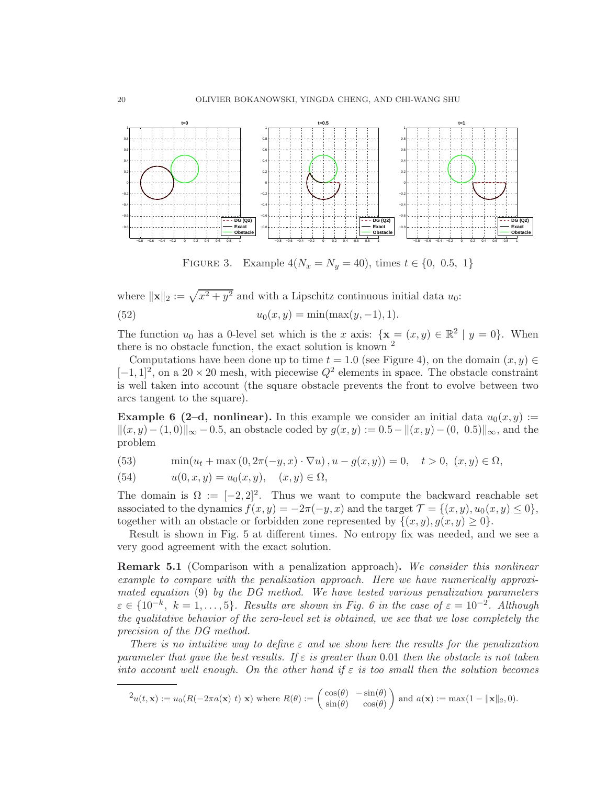

FIGURE 3. Example  $4(N_x = N_y = 40)$ , times  $t \in \{0, 0.5, 1\}$ 

where  $\|\mathbf{x}\|_2 := \sqrt{x^2 + y^2}$  and with a Lipschitz continuous initial data  $u_0$ :

(52) 
$$
u_0(x, y) = \min(\max(y, -1), 1).
$$

The function  $u_0$  has a 0-level set which is the x axis:  $\{x = (x, y) \in \mathbb{R}^2 \mid y = 0\}$ . When there is no obstacle function, the exact solution is known  $^2$ 

Computations have been done up to time  $t = 1.0$  (see Figure 4), on the domain  $(x, y) \in$  $[-1, 1]^2$ , on a 20 × 20 mesh, with piecewise  $Q^2$  elements in space. The obstacle constraint is well taken into account (the square obstacle prevents the front to evolve between two arcs tangent to the square).

**Example 6 (2-d, nonlinear).** In this example we consider an initial data  $u_0(x, y)$  :=  $||(x, y) - (1, 0)||_{\infty} - 0.5$ , an obstacle coded by  $g(x, y) := 0.5 - ||(x, y) - (0, 0.5)||_{\infty}$ , and the problem

(53)  $\min(u_t + \max(0, 2\pi(-y, x) \cdot \nabla u), u - g(x, y)) = 0, \quad t > 0, (x, y) \in \Omega,$ 

(54) 
$$
u(0, x, y) = u_0(x, y), \quad (x, y) \in \Omega,
$$

The domain is  $\Omega := [-2, 2]^2$ . Thus we want to compute the backward reachable set associated to the dynamics  $f(x, y) = -2\pi(-y, x)$  and the target  $\mathcal{T} = \{(x, y), u_0(x, y) \le 0\}$ , together with an obstacle or forbidden zone represented by  $\{(x, y), g(x, y) \geq 0\}.$ 

Result is shown in Fig. 5 at different times. No entropy fix was needed, and we see a very good agreement with the exact solution.

Remark 5.1 (Comparison with a penalization approach). *We consider this nonlinear example to compare with the penalization approach. Here we have numerically approximated equation* (9) *by the DG method. We have tested various penalization parameters*  $\varepsilon \in \{10^{-k}, k = 1, \ldots, 5\}$ . Results are shown in Fig. 6 in the case of  $\varepsilon = 10^{-2}$ . Although *the qualitative behavior of the zero-level set is obtained, we see that we lose completely the precision of the DG method.*

*There is no intuitive way to define* ε *and we show here the results for the penalization parameter that gave the best results. If* ε *is greater than* 0.01 *then the obstacle is not taken into account well enough. On the other hand if*  $\varepsilon$  *is too small then the solution becomes* 

$$
^2u(t,\mathbf{x}) := u_0(R(-2\pi a(\mathbf{x})\;t)\;\mathbf{x})\;\text{where}\;R(\theta) := \begin{pmatrix} \cos(\theta) & -\sin(\theta) \\ \sin(\theta) & \cos(\theta) \end{pmatrix} \text{ and } a(\mathbf{x}) := \max(1 - ||\mathbf{x}||_2, 0).
$$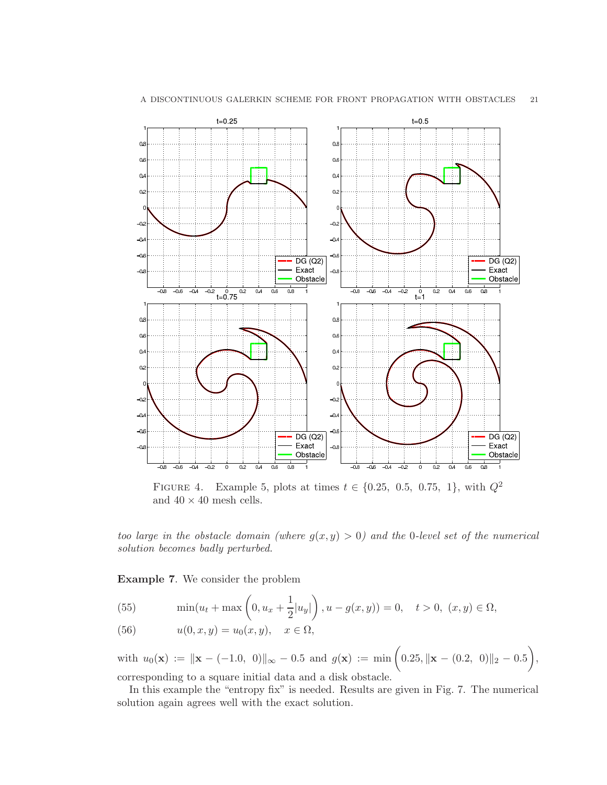

FIGURE 4. Example 5, plots at times  $t \in \{0.25, 0.5, 0.75, 1\}$ , with  $Q^2$ and  $40 \times 40$  mesh cells.

*too large in the obstacle domain (where*  $g(x, y) > 0$ ) and the 0-level set of the numerical *solution becomes badly perturbed.*

Example 7. We consider the problem

(55) 
$$
\min(u_t + \max\left(0, u_x + \frac{1}{2}|u_y|\right), u - g(x, y)) = 0, \quad t > 0, \ (x, y) \in \Omega,
$$

(56) 
$$
u(0, x, y) = u_0(x, y), \quad x \in \Omega,
$$

with  $u_0(\mathbf{x}) := \|\mathbf{x} - (-1.0, 0)\|_{\infty} - 0.5$  and  $g(\mathbf{x}) := \min\left(0.25, \|\mathbf{x} - (0.2, 0)\|_{2} - 0.5\right)$ , corresponding to a square initial data and a disk obstacle.

In this example the "entropy fix" is needed. Results are given in Fig. 7. The numerical solution again agrees well with the exact solution.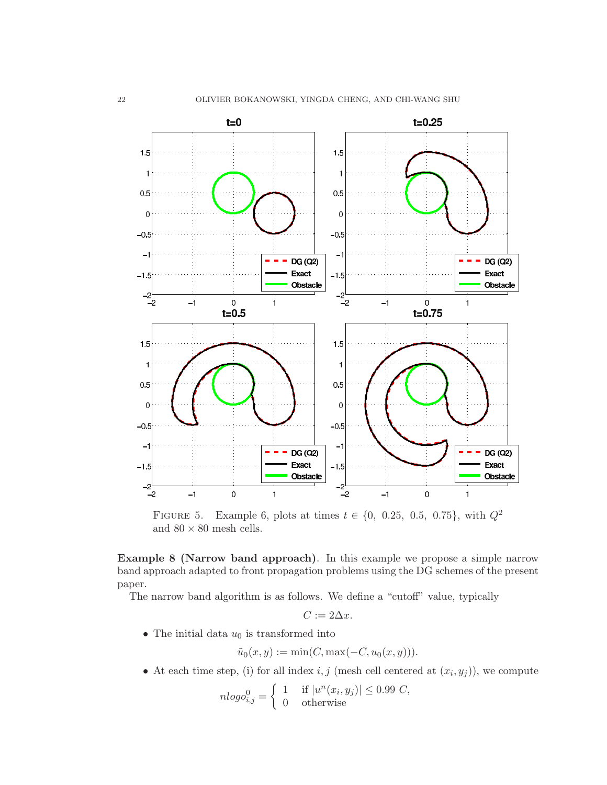

FIGURE 5. Example 6, plots at times  $t \in \{0, 0.25, 0.5, 0.75\}$ , with  $Q^2$ and  $80 \times 80$  mesh cells.

Example 8 (Narrow band approach). In this example we propose a simple narrow band approach adapted to front propagation problems using the DG schemes of the present paper.

The narrow band algorithm is as follows. We define a "cutoff" value, typically

$$
C:=2\Delta x.
$$

• The initial data  $u_0$  is transformed into

$$
\tilde{u}_0(x, y) := \min(C, \max(-C, u_0(x, y))).
$$

• At each time step, (i) for all index  $i, j$  (mesh cell centered at  $(x_i, y_j)$ ), we compute

$$
nlogo_{i,j}^0 = \begin{cases} 1 & \text{if } |u^n(x_i, y_j)| \le 0.99 \ C, \\ 0 & \text{otherwise} \end{cases}
$$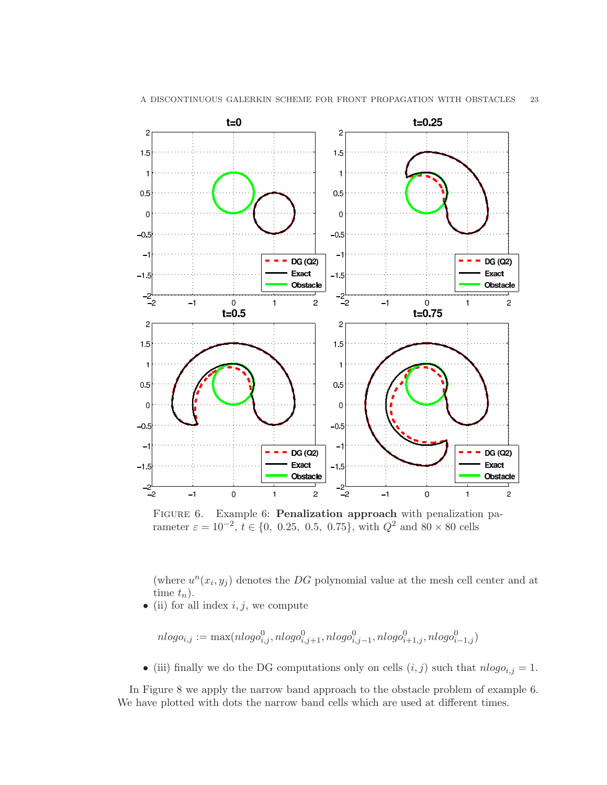

FIGURE 6. Example 6: Penalization approach with penalization parameter  $\varepsilon = 10^{-2}$ ,  $t \in \{0, 0.25, 0.5, 0.75\}$ , with  $Q^2$  and  $80 \times 80$  cells

 $\overline{2}$ 

 $\mathbf{1}$ 

(where  $u^n(x_i, y_j)$  denotes the DG polynomial value at the mesh cell center and at time  $t_n$ ).

 $\sqrt{2}$ 

 $\mathbf{1}$ 

• (ii) for all index  $i, j$ , we compute

$$
nlogo_{i,j} := \max(nlogo_{i,j}^0, nlogo_{i,j+1}^0, nlogo_{i,j-1}^0, nlogo_{i+1,j}^0, nlogo_{i-1,j}^0)
$$

• (iii) finally we do the DG computations only on cells  $(i, j)$  such that  $nlogo_{i,j} = 1$ .

In Figure 8 we apply the narrow band approach to the obstacle problem of example 6. We have plotted with dots the narrow band cells which are used at different times.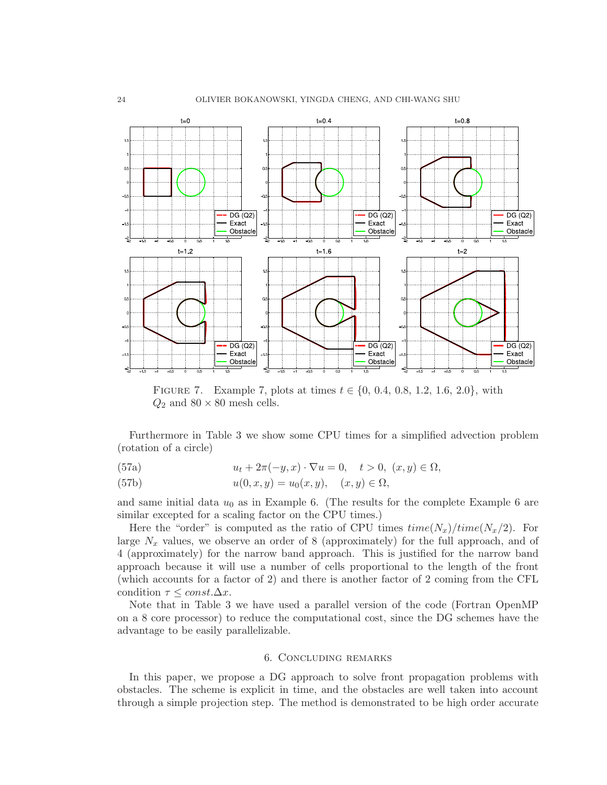

FIGURE 7. Example 7, plots at times  $t \in \{0, 0.4, 0.8, 1.2, 1.6, 2.0\}$ , with  $Q_2$  and  $80 \times 80$  mesh cells.

Furthermore in Table 3 we show some CPU times for a simplified advection problem (rotation of a circle)

(57a) 
$$
u_t + 2\pi(-y, x) \cdot \nabla u = 0, \quad t > 0, (x, y) \in \Omega,
$$

(57b) 
$$
u(0, x, y) = u_0(x, y), \quad (x, y) \in \Omega,
$$

and same initial data  $u_0$  as in Example 6. (The results for the complete Example 6 are similar excepted for a scaling factor on the CPU times.)

Here the "order" is computed as the ratio of CPU times  $time(N_x)/time(N_x/2)$ . For large  $N_x$  values, we observe an order of 8 (approximately) for the full approach, and of 4 (approximately) for the narrow band approach. This is justified for the narrow band approach because it will use a number of cells proportional to the length of the front (which accounts for a factor of 2) and there is another factor of 2 coming from the CFL condition  $\tau \leq const. \Delta x$ .

Note that in Table 3 we have used a parallel version of the code (Fortran OpenMP on a 8 core processor) to reduce the computational cost, since the DG schemes have the advantage to be easily parallelizable.

### 6. Concluding remarks

In this paper, we propose a DG approach to solve front propagation problems with obstacles. The scheme is explicit in time, and the obstacles are well taken into account through a simple projection step. The method is demonstrated to be high order accurate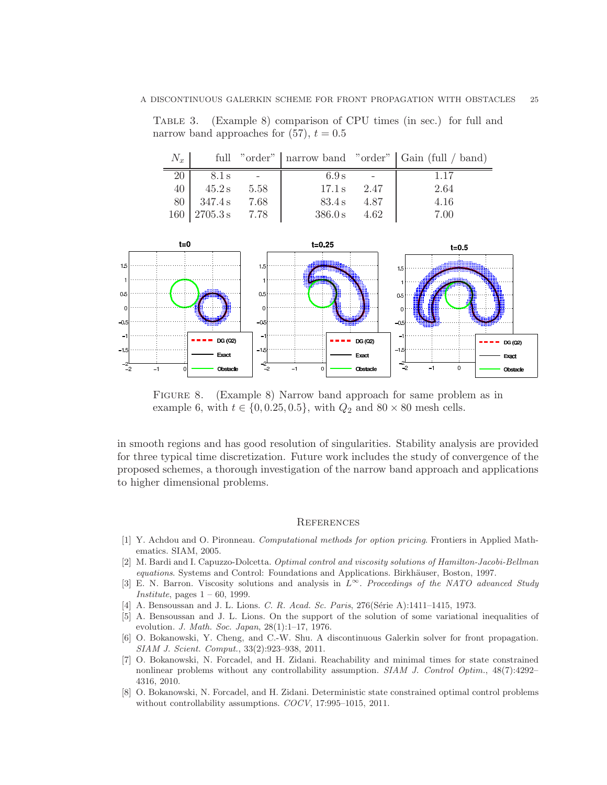Table 3. (Example 8) comparison of CPU times (in sec.) for full and narrow band approaches for  $(57)$ ,  $t = 0.5$ 

| $N_x$ |                       |      |         |             | full "order"   narrow band "order"   Gain (full / band) |
|-------|-----------------------|------|---------|-------------|---------------------------------------------------------|
| 20    | 8.1 s                 |      | 6.9 s   |             | 1.17                                                    |
|       | $40$   $45.2 s$       | 5.58 | 17.1 s  | 2.47        | 2.64                                                    |
|       | 80 347.4 s            | 7.68 |         | 83.4 s 4.87 | 4.16                                                    |
|       | $160$   2705.3 s 7.78 |      | 386.0 s | 4.62        | 7.00                                                    |



Figure 8. (Example 8) Narrow band approach for same problem as in example 6, with  $t \in \{0, 0.25, 0.5\}$ , with  $Q_2$  and  $80 \times 80$  mesh cells.

in smooth regions and has good resolution of singularities. Stability analysis are provided for three typical time discretization. Future work includes the study of convergence of the proposed schemes, a thorough investigation of the narrow band approach and applications to higher dimensional problems.

#### **REFERENCES**

- [1] Y. Achdou and O. Pironneau. Computational methods for option pricing. Frontiers in Applied Mathematics. SIAM, 2005.
- [2] M. Bardi and I. Capuzzo-Dolcetta. Optimal control and viscosity solutions of Hamilton-Jacobi-Bellman equations. Systems and Control: Foundations and Applications. Birkhäuser, Boston, 1997.
- [3] E. N. Barron. Viscosity solutions and analysis in  $\tilde{L}^{\infty}$ . Proceedings of the NATO advanced Study Institute, pages  $1 - 60$ , 1999.
- [4] A. Bensoussan and J. L. Lions. C. R. Acad. Sc. Paris, 276(Série A):1411–1415, 1973.
- [5] A. Bensoussan and J. L. Lions. On the support of the solution of some variational inequalities of evolution. J. Math. Soc. Japan, 28(1):1–17, 1976.
- [6] O. Bokanowski, Y. Cheng, and C.-W. Shu. A discontinuous Galerkin solver for front propagation. SIAM J. Scient. Comput., 33(2):923–938, 2011.
- [7] O. Bokanowski, N. Forcadel, and H. Zidani. Reachability and minimal times for state constrained nonlinear problems without any controllability assumption. SIAM J. Control Optim., 48(7):4292-4316, 2010.
- [8] O. Bokanowski, N. Forcadel, and H. Zidani. Deterministic state constrained optimal control problems without controllability assumptions. COCV, 17:995-1015, 2011.